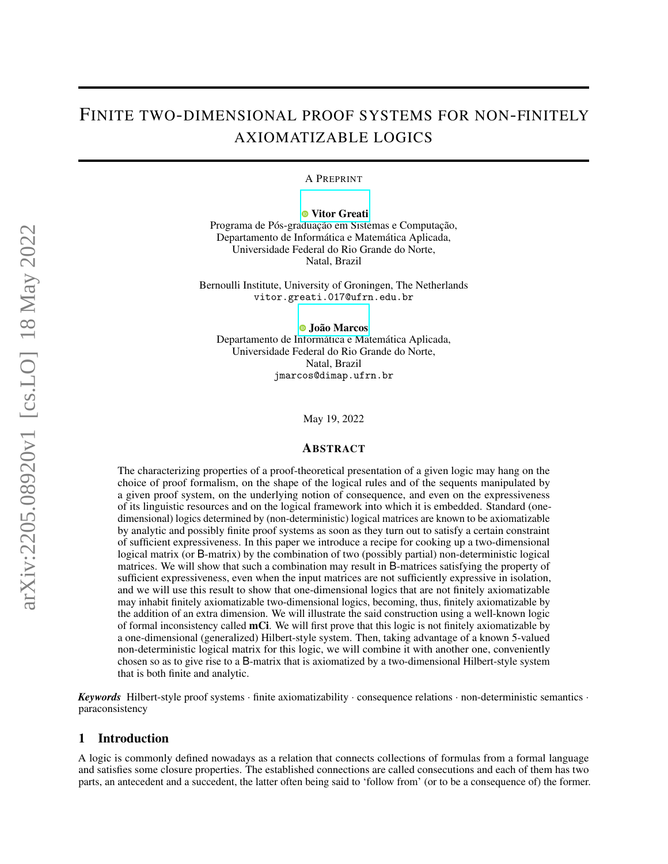# FINITE TWO-DIMENSIONAL PROOF SYSTEMS FOR NON-FINITELY AXIOMATIZABLE LOGICS

A PREPRINT

**O** [Vitor Greati](https://orcid.org/0000-0003-3240-386X)

Programa de Pós-graduação em Sistemas e Computação, Departamento de Informática e Matemática Aplicada, Universidade Federal do Rio Grande do Norte, Natal, Brazil

Bernoulli Institute, University of Groningen, The Netherlands vitor.greati.017@ufrn.edu.br

[João Marcos](https://orcid.org/0000-0003-2601-8164)

Departamento de Informática e Matemática Aplicada, Universidade Federal do Rio Grande do Norte, Natal, Brazil jmarcos@dimap.ufrn.br

May 19, 2022

#### ABSTRACT

The characterizing properties of a proof-theoretical presentation of a given logic may hang on the choice of proof formalism, on the shape of the logical rules and of the sequents manipulated by a given proof system, on the underlying notion of consequence, and even on the expressiveness of its linguistic resources and on the logical framework into which it is embedded. Standard (onedimensional) logics determined by (non-deterministic) logical matrices are known to be axiomatizable by analytic and possibly finite proof systems as soon as they turn out to satisfy a certain constraint of sufficient expressiveness. In this paper we introduce a recipe for cooking up a two-dimensional logical matrix (or B-matrix) by the combination of two (possibly partial) non-deterministic logical matrices. We will show that such a combination may result in B-matrices satisfying the property of sufficient expressiveness, even when the input matrices are not sufficiently expressive in isolation, and we will use this result to show that one-dimensional logics that are not finitely axiomatizable may inhabit finitely axiomatizable two-dimensional logics, becoming, thus, finitely axiomatizable by the addition of an extra dimension. We will illustrate the said construction using a well-known logic of formal inconsistency called mCi. We will first prove that this logic is not finitely axiomatizable by a one-dimensional (generalized) Hilbert-style system. Then, taking advantage of a known 5-valued non-deterministic logical matrix for this logic, we will combine it with another one, conveniently chosen so as to give rise to a B-matrix that is axiomatized by a two-dimensional Hilbert-style system that is both finite and analytic.

*Keywords* Hilbert-style proof systems · finite axiomatizability · consequence relations · non-deterministic semantics · paraconsistency

### 1 Introduction

A logic is commonly defined nowadays as a relation that connects collections of formulas from a formal language and satisfies some closure properties. The established connections are called consecutions and each of them has two parts, an antecedent and a succedent, the latter often being said to 'follow from' (or to be a consequence of) the former.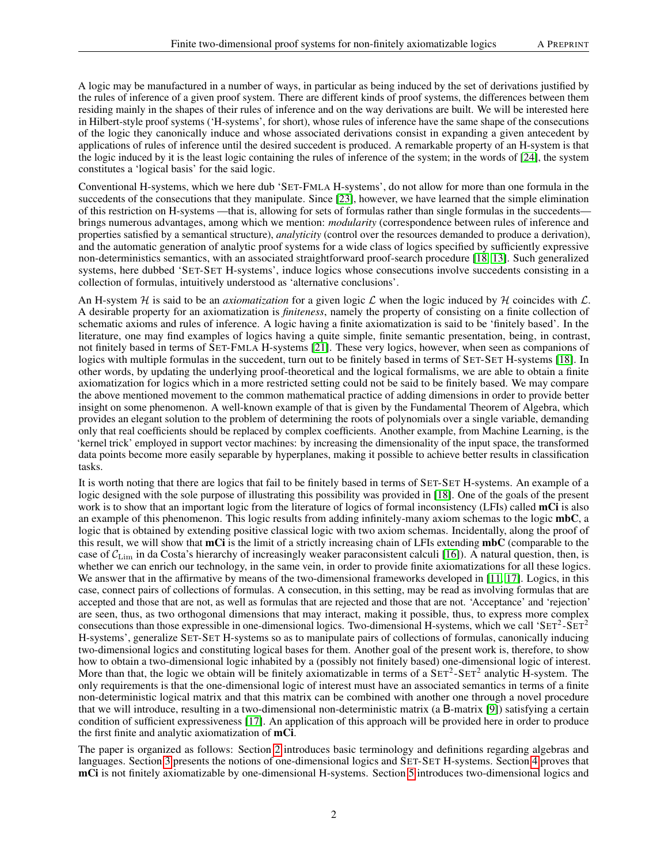A logic may be manufactured in a number of ways, in particular as being induced by the set of derivations justified by the rules of inference of a given proof system. There are different kinds of proof systems, the differences between them residing mainly in the shapes of their rules of inference and on the way derivations are built. We will be interested here in Hilbert-style proof systems ('H-systems', for short), whose rules of inference have the same shape of the consecutions of the logic they canonically induce and whose associated derivations consist in expanding a given antecedent by applications of rules of inference until the desired succedent is produced. A remarkable property of an H-system is that the logic induced by it is the least logic containing the rules of inference of the system; in the words of [\[24\]](#page-12-0), the system constitutes a 'logical basis' for the said logic.

Conventional H-systems, which we here dub 'SET-FMLA H-systems', do not allow for more than one formula in the succedents of the consecutions that they manipulate. Since [\[23\]](#page-12-1), however, we have learned that the simple elimination of this restriction on H-systems —that is, allowing for sets of formulas rather than single formulas in the succedents brings numerous advantages, among which we mention: *modularity* (correspondence between rules of inference and properties satisfied by a semantical structure), *analyticity* (control over the resources demanded to produce a derivation), and the automatic generation of analytic proof systems for a wide class of logics specified by sufficiently expressive non-deterministics semantics, with an associated straightforward proof-search procedure [\[18,](#page-12-2) [13\]](#page-11-0). Such generalized systems, here dubbed 'SET-SET H-systems', induce logics whose consecutions involve succedents consisting in a collection of formulas, intuitively understood as 'alternative conclusions'.

An H-system H is said to be an *axiomatization* for a given logic  $\mathcal L$  when the logic induced by H coincides with  $\mathcal L$ . A desirable property for an axiomatization is *finiteness*, namely the property of consisting on a finite collection of schematic axioms and rules of inference. A logic having a finite axiomatization is said to be 'finitely based'. In the literature, one may find examples of logics having a quite simple, finite semantic presentation, being, in contrast, not finitely based in terms of SET-FMLA H-systems [\[21\]](#page-12-3). These very logics, however, when seen as companions of logics with multiple formulas in the succedent, turn out to be finitely based in terms of SET-SET H-systems [\[18\]](#page-12-2). In other words, by updating the underlying proof-theoretical and the logical formalisms, we are able to obtain a finite axiomatization for logics which in a more restricted setting could not be said to be finitely based. We may compare the above mentioned movement to the common mathematical practice of adding dimensions in order to provide better insight on some phenomenon. A well-known example of that is given by the Fundamental Theorem of Algebra, which provides an elegant solution to the problem of determining the roots of polynomials over a single variable, demanding only that real coefficients should be replaced by complex coefficients. Another example, from Machine Learning, is the 'kernel trick' employed in support vector machines: by increasing the dimensionality of the input space, the transformed data points become more easily separable by hyperplanes, making it possible to achieve better results in classification tasks.

It is worth noting that there are logics that fail to be finitely based in terms of SET-SET H-systems. An example of a logic designed with the sole purpose of illustrating this possibility was provided in [\[18\]](#page-12-2). One of the goals of the present work is to show that an important logic from the literature of logics of formal inconsistency (LFIs) called **mCi** is also an example of this phenomenon. This logic results from adding infinitely-many axiom schemas to the logic mbC, a logic that is obtained by extending positive classical logic with two axiom schemas. Incidentally, along the proof of this result, we will show that mCi is the limit of a strictly increasing chain of LFIs extending mbC (comparable to the case of  $C_{\text{Lim}}$  in da Costa's hierarchy of increasingly weaker paraconsistent calculi [\[16\]](#page-12-4)). A natural question, then, is whether we can enrich our technology, in the same vein, in order to provide finite axiomatizations for all these logics. We answer that in the affirmative by means of the two-dimensional frameworks developed in [\[11,](#page-11-1) [17\]](#page-12-5). Logics, in this case, connect pairs of collections of formulas. A consecution, in this setting, may be read as involving formulas that are accepted and those that are not, as well as formulas that are rejected and those that are not. 'Acceptance' and 'rejection' are seen, thus, as two orthogonal dimensions that may interact, making it possible, thus, to express more complex consecutions than those expressible in one-dimensional logics. Two-dimensional H-systems, which we call 'SET<sup>2</sup>-SET<sup>2</sup> H-systems', generalize SET-SET H-systems so as to manipulate pairs of collections of formulas, canonically inducing two-dimensional logics and constituting logical bases for them. Another goal of the present work is, therefore, to show how to obtain a two-dimensional logic inhabited by a (possibly not finitely based) one-dimensional logic of interest. More than that, the logic we obtain will be finitely axiomatizable in terms of a  $SET^2-SET^2$  analytic H-system. The only requirements is that the one-dimensional logic of interest must have an associated semantics in terms of a finite non-deterministic logical matrix and that this matrix can be combined with another one through a novel procedure that we will introduce, resulting in a two-dimensional non-deterministic matrix (a B-matrix [\[9\]](#page-11-2)) satisfying a certain condition of sufficient expressiveness [\[17\]](#page-12-5). An application of this approach will be provided here in order to produce the first finite and analytic axiomatization of mCi.

The paper is organized as follows: Section [2](#page-2-0) introduces basic terminology and definitions regarding algebras and languages. Section [3](#page-2-1) presents the notions of one-dimensional logics and SET-SET H-systems. Section [4](#page-4-0) proves that mCi is not finitely axiomatizable by one-dimensional H-systems. Section [5](#page-7-0) introduces two-dimensional logics and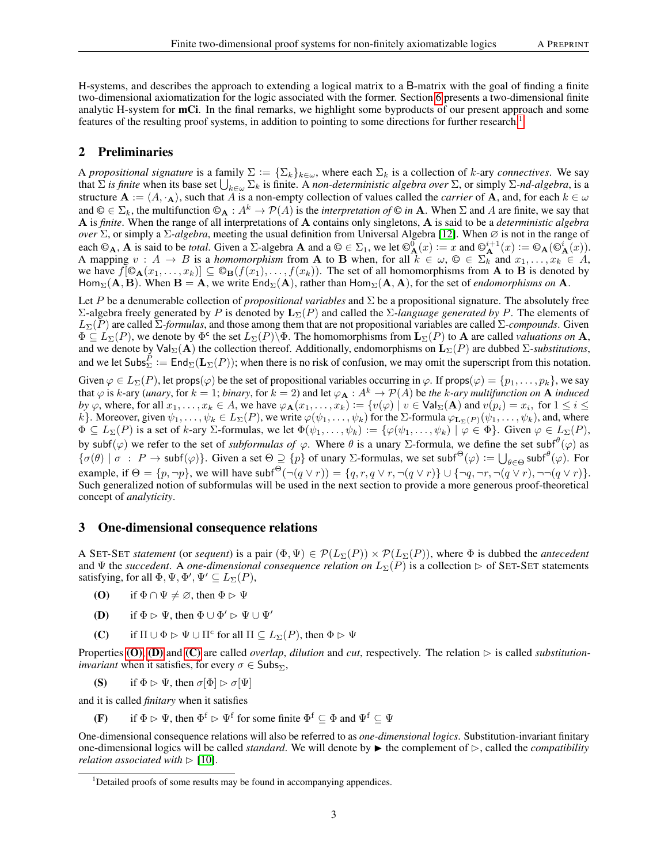H-systems, and describes the approach to extending a logical matrix to a B-matrix with the goal of finding a finite two-dimensional axiomatization for the logic associated with the former. Section [6](#page-9-0) presents a two-dimensional finite analytic H-system for mCi. In the final remarks, we highlight some byproducts of our present approach and some features of the resulting proof systems, in addition to pointing to some directions for further research.<sup>[1](#page-2-2)</sup>

## <span id="page-2-0"></span>2 Preliminaries

A *propositional signature* is a family  $\Sigma := \{\Sigma_k\}_{k\in\omega}$ , where each  $\Sigma_k$  is a collection of k-ary *connectives*. We say that  $\Sigma$  *is finite* when its base set  $\bigcup_{k\in\omega}\Sigma_k$  is finite. A *non-deterministic algebra over*  $\Sigma$ , or simply  $\Sigma$ *-nd-algebra*, is a structure  $A := \langle A, \cdot_A \rangle$ , such that A is a non-empty collection of values called the *carrier* of A, and, for each  $k \in \omega$ and  $\mathbb{O} \in \Sigma_k$ , the multifunction  $\mathbb{O}_{\mathbf{A}} : A^k \to \mathcal{P}(A)$  is the *interpretation of*  $\mathbb{O}$  *in* **A**. When  $\Sigma$  and A are finite, we say that A is *finite*. When the range of all interpretations of A contains only singletons, A is said to be a *deterministic algebra over* Σ, or simply a Σ*-algebra*, meeting the usual definition from Universal Algebra [\[12\]](#page-11-3). When ∅ is not in the range of each  $\mathbb{O}_{\mathbf{A}}$ , **A** is said to be *total*. Given a  $\Sigma$ -algebra **A** and a  $\mathbb{O} \in \Sigma_1$ , we let  $\mathbb{O}_{\mathbf{A}}^0(x) := x$  and  $\mathbb{O}_{\mathbf{A}}^{i+1}(x) := \mathbb{O}_{\mathbf{A}}(\mathbb{O}_{\mathbf{A}}^i(x))$ . A mapping  $v : A \to B$  is a *homomorphism* from A to B when, for all  $k \in \omega$ ,  $\mathbb{O} \in \Sigma_k^{\uparrow}$  and  $x_1, \ldots, x_k \in A$ , we have  $f[\mathbb{O}_{\mathbf{A}}(x_1,\ldots,x_k)] \subseteq \mathbb{O}_{\mathbf{B}}(f(x_1),\ldots,f(x_k)).$  The set of all homomorphisms from **A** to **B** is denoted by Hom<sub>Σ</sub>( $\bf{A}, \bf{B}$ ). When  $\bf{B} = \bf{A}$ , we write  $\text{End}_{\Sigma}(\bf{A})$ , rather than  $\text{Hom}_{\Sigma}(\bf{A}, \bf{A})$ , for the set of *endomorphisms on*  $\bf{A}$ .

Let P be a denumerable collection of *propositional variables* and Σ be a propositional signature. The absolutely free  $\Sigma$ -algebra freely generated by P is denoted by  $L_{\Sigma}(P)$  and called the  $\Sigma$ -language generated by P. The elements of LΣ(P) are called Σ*-formulas*, and those among them that are not propositional variables are called Σ-*compounds*. Given  $\Phi \subseteq L_{\Sigma}(P)$ , we denote by  $\Phi^c$  the set  $L_{\Sigma}(P)\overline{\Phi}$ . The homomorphisms from  ${\bf L}_{\Sigma}(P)$  to A are called *valuations on* A, and we denote by  $\text{Val}_{\Sigma}(\mathbf{A})$  the collection thereof. Additionally, endomorphisms on  $\mathbf{L}_{\Sigma}(P)$  are dubbed  $\Sigma$ -substitutions, and we let  $\mathsf{Subs}^P_\Sigma := \mathsf{End}_\Sigma(\mathbf{L}_\Sigma(P))$ ; when there is no risk of confusion, we may omit the superscript from this notation.

Given  $\varphi \in L_{\Sigma}(P)$ , let props( $\varphi$ ) be the set of propositional variables occurring in  $\varphi$ . If props( $\varphi$ ) = { $p_1, \ldots, p_k$ }, we say that  $\varphi$  is k-ary (*unary*, for  $k = 1$ ; *binary*, for  $k = 2$ ) and let  $\varphi_A : A^k \to \mathcal{P}(A)$  be the k-ary multifunction on **A** *induced by*  $\varphi$ , where, for all  $x_1, \ldots, x_k \in A$ , we have  $\varphi_A(x_1, \ldots, x_k) := \{v(\varphi) \mid v \in \text{Val}_{\Sigma}(\mathbf{A}) \text{ and } v(p_i) = x_i, \text{ for } 1 \le i \le k \}$ k}. Moreover, given  $\psi_1,\ldots,\psi_k\in L_\Sigma(P)$ , we write  $\varphi(\psi_1,\ldots,\psi_k)$  for the  $\Sigma$ -formula  $\varphi_{\mathbf{L}_{\Sigma}(P)}(\psi_1,\ldots,\psi_k)$ , and, where  $\Phi \subseteq L_{\Sigma}(P)$  is a set of k-ary  $\Sigma$ -formulas, we let  $\Phi(\psi_1, \dots, \psi_k) := \{ \varphi(\psi_1, \dots, \psi_k) \mid \varphi \in \Phi \}$ . Given  $\varphi \in L_{\Sigma}(P)$ , by subf $(\varphi)$  we refer to the set of *subformulas of*  $\varphi$ . Where  $\theta$  is a unary  $\Sigma$ -formula, we define the set subf $^{\theta}(\varphi)$  as  $\{\sigma(\theta) \mid \sigma : P \to \text{subf}(\varphi)\}\$ . Given a set  $\Theta \supseteq \{p\}$  of unary  $\Sigma$ -formulas, we set subf $\Theta(\varphi) := \bigcup_{\theta \in \Theta} \text{subf}^{\theta}(\varphi)$ . For example, if  $\Theta = \{p, \neg p\}$ , we will have subf<sup> $\Theta(\neg (q \lor r)) = \{q, r, q \lor r, \neg (q \lor r)\} \cup \{\neg q, \neg r, \neg (q \lor r), \neg \neg (q \lor r)\}.$ </sup> Such generalized notion of subformulas will be used in the next section to provide a more generous proof-theoretical concept of *analyticity*.

## <span id="page-2-1"></span>3 One-dimensional consequence relations

A SET-SET *statement* (or *sequent*) is a pair  $(\Phi, \Psi) \in \mathcal{P}(L_{\Sigma}(P)) \times \mathcal{P}(L_{\Sigma}(P))$ , where  $\Phi$  is dubbed the *antecedent* and  $\Psi$  the *succedent*. A *one-dimensional consequence relation on*  $L_{\Sigma}(P)$  is a collection  $\triangleright$  of SET-SET statements satisfying, for all  $\Phi$ ,  $\Psi$ ,  $\Phi'$ ,  $\Psi' \subseteq L_{\Sigma}(P)$ ,

- <span id="page-2-3"></span>(O) if  $\Phi \cap \Psi \neq \emptyset$ , then  $\Phi \triangleright \Psi$
- <span id="page-2-4"></span>**(D)** if  $\Phi \triangleright \Psi$ , then  $\Phi \cup \Phi' \triangleright \Psi \cup \Psi'$
- <span id="page-2-5"></span>(C) if  $\Pi \cup \Phi \rhd \Psi \cup \Pi^c$  for all  $\Pi \subseteq L_{\Sigma}(P)$ , then  $\Phi \rhd \Psi$

Properties  $(0)$ ,  $(D)$  and  $(C)$  are called *overlap*, *dilution* and *cut*, respectively. The relation  $\triangleright$  is called *substitutioninvariant* when it satisfies, for every  $\sigma \in \mathsf{Subs}_{\Sigma}$ ,

(S) if  $\Phi \triangleright \Psi$ , then  $\sigma[\Phi] \triangleright \sigma[\Psi]$ 

and it is called *finitary* when it satisfies

(F) if  $\Phi \triangleright \Psi$ , then  $\Phi^f \triangleright \Psi^f$  for some finite  $\Phi^f \subseteq \Phi$  and  $\Psi^f \subseteq \Psi$ 

One-dimensional consequence relations will also be referred to as *one-dimensional logics*. Substitution-invariant finitary one-dimensional logics will be called *standard*. We will denote by  $\blacktriangleright$  the complement of  $\triangleright$ , called the *compatibility relation associated with*  $\triangleright$  [\[10\]](#page-11-4).

<span id="page-2-2"></span><sup>&</sup>lt;sup>1</sup>Detailed proofs of some results may be found in accompanying appendices.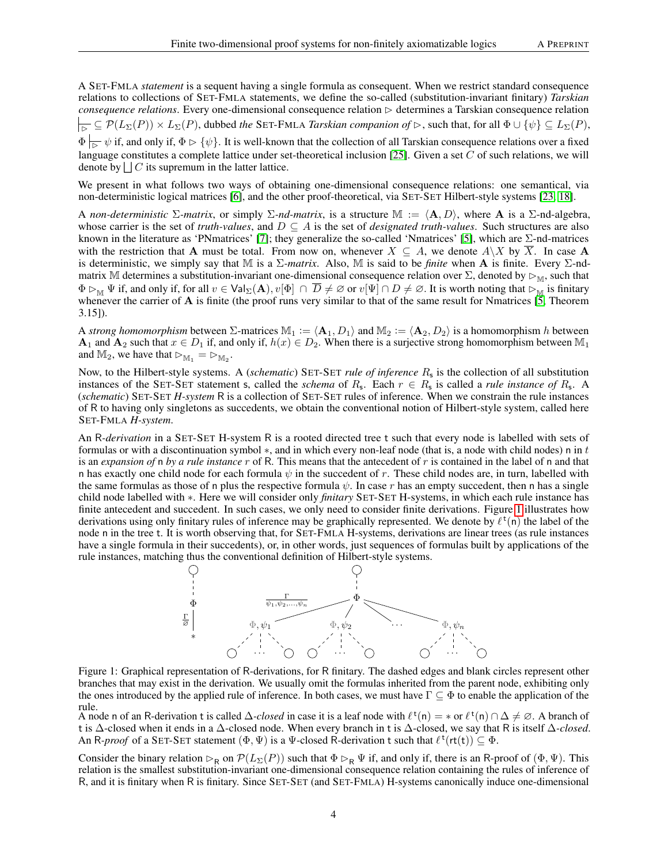A SET-FMLA *statement* is a sequent having a single formula as consequent. When we restrict standard consequence relations to collections of SET-FMLA statements, we define the so-called (substitution-invariant finitary) *Tarskian*  $consequence$  *relations*. Every one-dimensional consequence relation  $\triangleright$  determines a Tarskian consequence relation  $B \subseteq \mathcal{P}(L_\Sigma(P)) \times L_\Sigma(P)$ , dubbed *the* SET-FMLA *Tarskian companion of*  $\triangleright$ , such that, for all  $\Phi \cup \{\psi\} \subseteq L_\Sigma(P)$ ,  $\Phi \rightharpoonup_{\overline{B}} \psi$  if, and only if,  $\Phi \rightharpoonup \{\psi\}$ . It is well-known that the collection of all Tarskian consequence relations over a fixed language constitutes a complete lattice under set-theoretical inclusion [\[25\]](#page-12-6). Given a set  $C$  of such relations, we will denote by  $\bigcup C$  its supremum in the latter lattice.

We present in what follows two ways of obtaining one-dimensional consequence relations: one semantical, via non-deterministic logical matrices [\[6\]](#page-11-5), and the other proof-theoretical, via SET-SET Hilbert-style systems [\[23,](#page-12-1) [18\]](#page-12-2).

A *non-deterministic*  $\Sigma$ *-matrix*, or simply  $\Sigma$ *-nd-matrix*, is a structure  $\mathbb{M} := \langle \mathbf{A}, D \rangle$ , where A is a  $\Sigma$ -nd-algebra, whose carrier is the set of *truth-values*, and  $D \subseteq A$  is the set of *designated truth-values*. Such structures are also known in the literature as 'PNmatrices' [\[7\]](#page-11-6); they generalize the so-called 'Nmatrices' [\[5\]](#page-11-7), which are  $\Sigma$ -nd-matrices with the restriction that A must be total. From now on, whenever  $X \subseteq A$ , we denote  $A \setminus X$  by  $\overline{X}$ . In case A is deterministic, we simply say that M is a Σ*-matrix*. Also, M is said to be *finite* when A is finite. Every Σ-ndmatrix M determines a substitution-invariant one-dimensional consequence relation over  $\Sigma$ , denoted by  $\triangleright_{\mathbb{M}}$ , such that  $\Phi \rhd_{\mathbb{M}} \Psi$  if, and only if, for all  $v \in \mathsf{Val}_{\Sigma}(\mathbf{A}), v[\Phi] \cap \overline{D} \neq \emptyset$  or  $v[\Psi] \cap D \neq \emptyset$ . It is worth noting that  $\rhd_{\mathbb{M}}$  is finitary whenever the carrier of A is finite (the proof runs very similar to that of the same result for Nmatrices  $[\tilde{5},$  Theorem 3.15]).

A *strong homomorphism* between  $\Sigma$ -matrices  $\mathbb{M}_1 := \langle \mathbf{A}_1, D_1 \rangle$  and  $\mathbb{M}_2 := \langle \mathbf{A}_2, D_2 \rangle$  is a homomorphism h between  $A_1$  and  $A_2$  such that  $x \in D_1$  if, and only if,  $h(x) \in D_2$ . When there is a surjective strong homomorphism between  $M_1$ and  $M_2$ , we have that  $\rhd_{M_1} = \rhd_{M_2}$ .

Now, to the Hilbert-style systems. A (*schematic*) SET-SET *rule of inference*  $R_s$  is the collection of all substitution instances of the SET-SET statement s, called the *schema* of  $R_s$ . Each  $r \in R_s$  is called a *rule instance of*  $R_s$ . A (*schematic*) SET-SET *H-system* R is a collection of SET-SET rules of inference. When we constrain the rule instances of R to having only singletons as succedents, we obtain the conventional notion of Hilbert-style system, called here SET-FMLA *H-system*.

An R*-derivation* in a SET-SET H-system R is a rooted directed tree t such that every node is labelled with sets of formulas or with a discontinuation symbol  $*$ , and in which every non-leaf node (that is, a node with child nodes) n in  $t$ is an *expansion of* n *by a rule instance* r of R. This means that the antecedent of r is contained in the label of n and that n has exactly one child node for each formula  $\psi$  in the succedent of r. These child nodes are, in turn, labelled with the same formulas as those of n plus the respective formula  $\psi$ . In case r has an empty succedent, then n has a single child node labelled with ∗. Here we will consider only *finitary* SET-SET H-systems, in which each rule instance has finite antecedent and succedent. In such cases, we only need to consider finite derivations. Figure [1](#page-3-0) illustrates how derivations using only finitary rules of inference may be graphically represented. We denote by  $\ell^t(n)$  the label of the node n in the tree t. It is worth observing that, for SET-FMLA H-systems, derivations are linear trees (as rule instances have a single formula in their succedents), or, in other words, just sequences of formulas built by applications of the rule instances, matching thus the conventional definition of Hilbert-style systems.

<span id="page-3-0"></span>

Figure 1: Graphical representation of R-derivations, for R finitary. The dashed edges and blank circles represent other branches that may exist in the derivation. We usually omit the formulas inherited from the parent node, exhibiting only the ones introduced by the applied rule of inference. In both cases, we must have  $\Gamma \subseteq \Phi$  to enable the application of the rule.

A node n of an R-derivation t is called  $\Delta$ -*closed* in case it is a leaf node with  $\ell^{\dagger}(n) = *$  or  $\ell^{\dagger}(n) \cap \Delta \neq \emptyset$ . A branch of t is ∆-closed when it ends in a ∆-closed node. When every branch in t is ∆-closed, we say that R is itself ∆*-closed*. An R-*proof* of a SET-SET statement  $(\Phi, \Psi)$  is a  $\Psi$ -closed R-derivation t such that  $\ell^{\mathsf{t}}(\mathsf{rt}(t)) \subseteq \Phi$ .

Consider the binary relation  $\triangleright_R$  on  $\mathcal{P}(L_\Sigma(P))$  such that  $\Phi \triangleright_R \Psi$  if, and only if, there is an R-proof of  $(\Phi, \Psi)$ . This relation is the smallest substitution-invariant one-dimensional consequence relation containing the rules of inference of R, and it is finitary when R is finitary. Since SET-SET (and SET-FMLA) H-systems canonically induce one-dimensional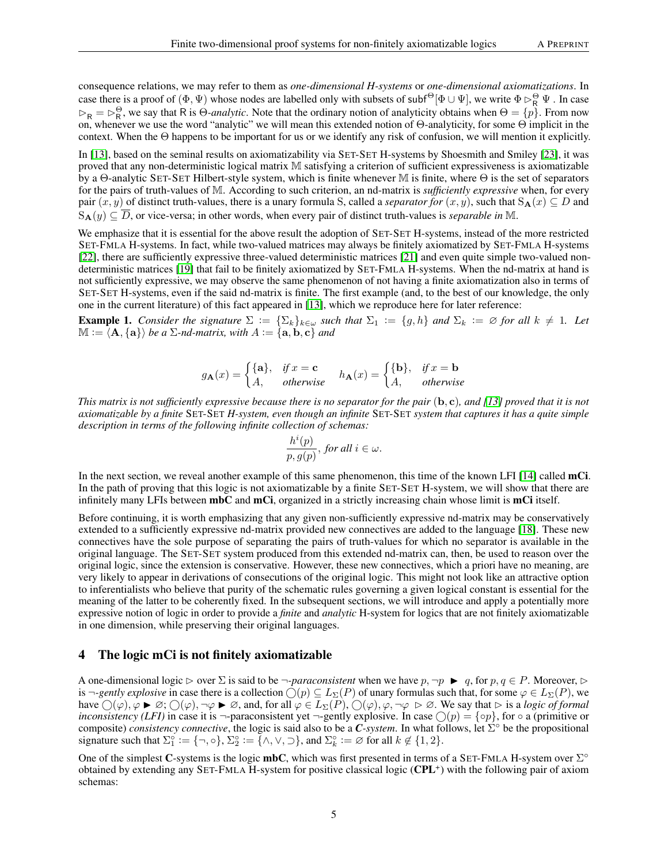consequence relations, we may refer to them as *one-dimensional H-systems* or *one-dimensional axiomatizations*. In case there is a proof of  $(\Phi, \Psi)$  whose nodes are labelled only with subsets of subf $^{\Theta}[\Phi\cup\Psi]$ , we write  $\Phi \rhd_R^{\Theta} \Psi$  . In case  $\triangleright_R = \triangleright_R^{\Theta}$ , we say that R is Θ-*analytic*. Note that the ordinary notion of analyticity obtains when  $\Theta = \{p\}$ . From now on, whenever we use the word "analytic" we will mean this extended notion of Θ-analyticity, for some Θ implicit in the context. When the Θ happens to be important for us or we identify any risk of confusion, we will mention it explicitly.

In [\[13\]](#page-11-0), based on the seminal results on axiomatizability via SET-SET H-systems by Shoesmith and Smiley [\[23\]](#page-12-1), it was proved that any non-deterministic logical matrix M satisfying a criterion of sufficient expressiveness is axiomatizable by a Θ-analytic SET-SET Hilbert-style system, which is finite whenever M is finite, where Θ is the set of separators for the pairs of truth-values of M. According to such criterion, an nd-matrix is *sufficiently expressive* when, for every pair  $(x, y)$  of distinct truth-values, there is a unary formula S, called a *separator for*  $(x, y)$ , such that  $S_A(x) \subseteq D$  and  $S_{\bf A}(y) \subseteq \overline{D}$ , or vice-versa; in other words, when every pair of distinct truth-values is *separable in* M.

We emphasize that it is essential for the above result the adoption of SET-SET H-systems, instead of the more restricted SET-FMLA H-systems. In fact, while two-valued matrices may always be finitely axiomatized by SET-FMLA H-systems [\[22\]](#page-12-7), there are sufficiently expressive three-valued deterministic matrices [\[21\]](#page-12-3) and even quite simple two-valued nondeterministic matrices [\[19\]](#page-12-8) that fail to be finitely axiomatized by SET-FMLA H-systems. When the nd-matrix at hand is not sufficiently expressive, we may observe the same phenomenon of not having a finite axiomatization also in terms of SET-SET H-systems, even if the said nd-matrix is finite. The first example (and, to the best of our knowledge, the only one in the current literature) of this fact appeared in [\[13\]](#page-11-0), which we reproduce here for later reference:

<span id="page-4-1"></span>**Example 1.** *Consider the signature*  $\Sigma := {\{\Sigma_k\}_{k\in\omega}}$  *such that*  $\Sigma_1 := {g,h}$  *and*  $\Sigma_k := \emptyset$  *for all*  $k \neq 1$ *. Let*  $M := \langle A, \{a\} \rangle$  be a  $\Sigma$ -nd-matrix, with  $A := \{a, b, c\}$  and

$$
g_{\mathbf{A}}(x) = \begin{cases} \{\mathbf{a}\}, & \text{if } x = \mathbf{c} \\ A, & \text{otherwise} \end{cases} \quad h_{\mathbf{A}}(x) = \begin{cases} \{\mathbf{b}\}, & \text{if } x = \mathbf{b} \\ A, & \text{otherwise} \end{cases}
$$

*This matrix is not sufficiently expressive because there is no separator for the pair* (b, c)*, and [\[13\]](#page-11-0) proved that it is not axiomatizable by a finite* SET-SET *H-system, even though an infinite* SET-SET *system that captures it has a quite simple description in terms of the following infinite collection of schemas:*

$$
\frac{h^i(p)}{p, g(p)}, \text{ for all } i \in \omega.
$$

In the next section, we reveal another example of this same phenomenon, this time of the known LFI [\[14\]](#page-11-8) called mCi. In the path of proving that this logic is not axiomatizable by a finite SET-SET H-system, we will show that there are infinitely many LFIs between mbC and mCi, organized in a strictly increasing chain whose limit is mCi itself.

Before continuing, it is worth emphasizing that any given non-sufficiently expressive nd-matrix may be conservatively extended to a sufficiently expressive nd-matrix provided new connectives are added to the language [\[18\]](#page-12-2). These new connectives have the sole purpose of separating the pairs of truth-values for which no separator is available in the original language. The SET-SET system produced from this extended nd-matrix can, then, be used to reason over the original logic, since the extension is conservative. However, these new connectives, which a priori have no meaning, are very likely to appear in derivations of consecutions of the original logic. This might not look like an attractive option to inferentialists who believe that purity of the schematic rules governing a given logical constant is essential for the meaning of the latter to be coherently fixed. In the subsequent sections, we will introduce and apply a potentially more expressive notion of logic in order to provide a *finite* and *analytic* H-system for logics that are not finitely axiomatizable in one dimension, while preserving their original languages.

#### <span id="page-4-0"></span>4 The logic mCi is not finitely axiomatizable

A one-dimensional logic  $\triangleright$  over  $\Sigma$  is said to be  $\neg$ -*paraconsistent* when we have  $p, \neg p \blacktriangleright q$ , for  $p, q \in P$ . Moreover,  $\triangleright$ is  $\neg\text{-}genly$  *explosive* in case there is a collection  $\bigcirc(p) \subseteq L_{\Sigma}(P)$  of unary formulas such that, for some  $\varphi \in L_{\Sigma}(P)$ , wehave  $\bigcirc$   $(\varphi)$ ,  $\varphi \blacktriangleright \varnothing$ ;  $\bigcirc$   $(\varphi)$ ,  $\neg \varphi \blacktriangleright \varnothing$ , and, for all  $\varphi \in L_{\Sigma}(P)$ ,  $\bigcirc$   $(\varphi)$ ,  $\varphi$ ,  $\neg \varphi \triangleright \varnothing$ . We say that  $\triangleright$  is a *logic of formal inconsistency (LFI)* in case it is  $\neg$ -paraconsistent yet  $\neg$ -gently explosive. In case  $\bigcirc$  ( $p$ ) = { $\circ$ p}, for  $\circ$  a (primitive or composite) *consistency connective*, the logic is said also to be a *C-system*. In what follows, let Σ ◦ be the propositional signature such that  $\Sigma_1^\circ := \{\neg, \circ\}, \Sigma_2^\circ := \{\land, \lor, \supset\}$ , and  $\Sigma_k^\circ := \varnothing$  for all  $k \notin \{1, 2\}$ .

One of the simplest C-systems is the logic mbC, which was first presented in terms of a SET-FMLA H-system over  $\Sigma^{\circ}$ obtained by extending any SET-FMLA H-system for positive classical logic (CPL<sup>+</sup>) with the following pair of axiom schemas: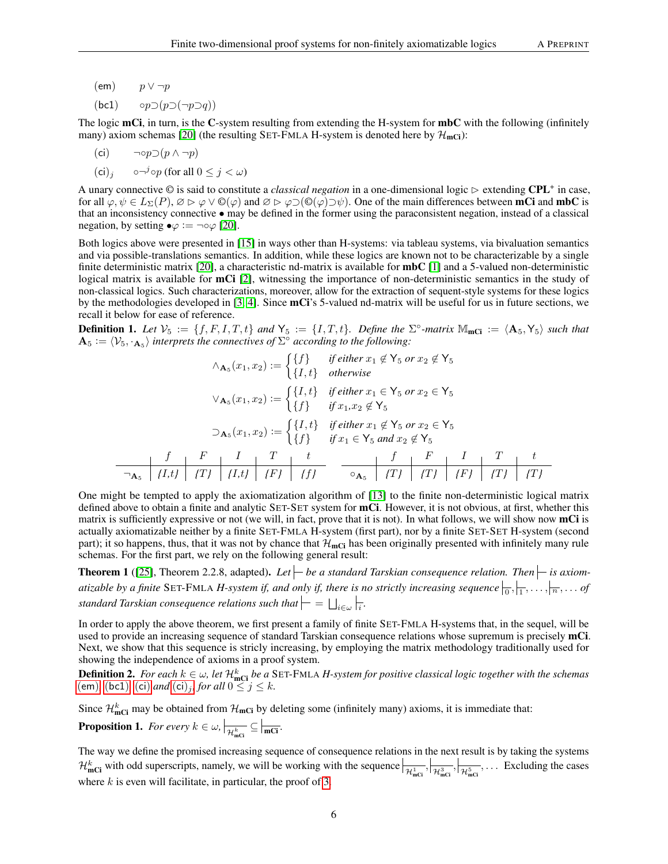- <span id="page-5-0"></span> $(em)$   $p \vee \neg p$
- <span id="page-5-1"></span>(bc1)  $\circ p \supset (p \supset (\neg p \supset q))$

The logic  $mCi$ , in turn, is the C-system resulting from extending the H-system for  $mbC$  with the following (infinitely many) axiom schemas [\[20\]](#page-12-9) (the resulting SET-FMLA H-system is denoted here by  $\mathcal{H}_{\text{mCi}}$ ):

<span id="page-5-2"></span>
$$
(ci) \qquad \neg \circ p \supset (p \land \neg p)
$$

<span id="page-5-3"></span> $(ci)_j$   $\circ \neg^{j} \circ p$  (for all  $0 \leq j \leq \omega$ )

A unary connective  $\odot$  is said to constitute a *classical negation* in a one-dimensional logic  $\triangleright$  extending CPL<sup>+</sup> in case, for all  $\varphi, \psi \in L_{\Sigma}(P), \varnothing \vartriangleright \varphi \vee \mathbb{O}(\varphi)$  and  $\varnothing \vartriangleright \varphi \supset (\mathbb{O}(\varphi) \supset \psi)$ . One of the main differences between **mCi** and **mbC** is that an inconsistency connective • may be defined in the former using the paraconsistent negation, instead of a classical negation, by setting  $\bullet \varphi := \neg \circ \varphi$  [\[20\]](#page-12-9).

Both logics above were presented in [\[15\]](#page-12-10) in ways other than H-systems: via tableau systems, via bivaluation semantics and via possible-translations semantics. In addition, while these logics are known not to be characterizable by a single finite deterministic matrix [\[20\]](#page-12-9), a characteristic nd-matrix is available for **mbC** [\[1\]](#page-11-9) and a 5-valued non-deterministic logical matrix is available for mCi [\[2\]](#page-11-10), witnessing the importance of non-deterministic semantics in the study of non-classical logics. Such characterizations, moreover, allow for the extraction of sequent-style systems for these logics by the methodologies developed in [\[3,](#page-11-11) [4\]](#page-11-12). Since mCi's 5-valued nd-matrix will be useful for us in future sections, we recall it below for ease of reference.

<span id="page-5-5"></span>**Definition 1.** Let  $V_5 := \{f, F, I, T, t\}$  and  $Y_5 := \{I, T, t\}$ . Define the  $\Sigma^{\circ}$ -matrix  $\mathbb{M}_{\text{mCi}} := \langle \mathbf{A}_5, \mathbf{Y}_5 \rangle$  such that  $\mathbf{A}_5 := \langle V_5, \cdot_{\mathbf{A}_5} \rangle$  interprets the connectives of  $\Sigma^{\circ}$  according to the following:

∧A<sup>5</sup> (x1, x2) := {f} *if either* x<sup>1</sup> 6∈ Y<sup>5</sup> *or* x<sup>2</sup> 6∈ Y<sup>5</sup> {I, t} *otherwise* ∨A<sup>5</sup> (x1, x2) := {I, t} *if either* x<sup>1</sup> ∈ Y<sup>5</sup> *or* x<sup>2</sup> ∈ Y<sup>5</sup> {f} *if* x1*,*x<sup>2</sup> 6∈ Y<sup>5</sup> ⊃A<sup>5</sup> (x1, x2) := {I, t} *if either* x<sup>1</sup> 6∈ Y<sup>5</sup> *or* x<sup>2</sup> ∈ Y<sup>5</sup> {f} *if* x<sup>1</sup> ∈ Y<sup>5</sup> *and* x<sup>2</sup> 6∈ Y<sup>5</sup> f F I T t ¬A<sup>5</sup> *{*I*,*t*} {*T*} {*I*,*t*} {*F*} {*f*}* f F I T t ◦A<sup>5</sup> *{*T*} {*T*} {*F*} {*T*} {*T*}*

One might be tempted to apply the axiomatization algorithm of [\[13\]](#page-11-0) to the finite non-deterministic logical matrix defined above to obtain a finite and analytic SET-SET system for **mCi**. However, it is not obvious, at first, whether this matrix is sufficiently expressive or not (we will, in fact, prove that it is not). In what follows, we will show now mCi is actually axiomatizable neither by a finite SET-FMLA H-system (first part), nor by a finite SET-SET H-system (second part); it so happens, thus, that it was not by chance that  $\mathcal{H}_{\text{mCl}}$  has been originally presented with infinitely many rule schemas. For the first part, we rely on the following general result:

<span id="page-5-4"></span>**Theorem 1** ([\[25\]](#page-12-6), Theorem 2.2.8, adapted). Let  $\left\vert \frac{\cdot}{\cdot} \right\vert$  be a standard Tarskian consequence relation. Then  $\left\vert \frac{\cdot}{\cdot} \right\vert$  is axiomatizable by a finite SET-FMLA *H*-system if, and only if, there is no strictly increasing sequence  $\frac{1}{0}, \frac{1}{1}, \ldots, \frac{1}{n}, \ldots$  of standard Tarskian consequence relations such that  $\models = \bigsqcup_{i \in \omega}\models_i$ .

In order to apply the above theorem, we first present a family of finite SET-FMLA H-systems that, in the sequel, will be used to provide an increasing sequence of standard Tarskian consequence relations whose supremum is precisely mCi. Next, we show that this sequence is stricly increasing, by employing the matrix methodology traditionally used for showing the independence of axioms in a proof system.

<span id="page-5-6"></span>**Definition 2.** For each  $k \in \omega$ , let  $\mathcal{H}_{\text{mCi}}^k$  be a SET-FMLA H-system for positive classical logic together with the schemas ([em](#page-5-0)), ([bc1](#page-5-1)), ([ci](#page-5-3)) *and* (ci)<sub>j</sub>, for all  $0 \le j \le k$ .

Since  $\mathcal{H}_{mCi}^k$  may be obtained from  $\mathcal{H}_{mCi}$  by deleting some (infinitely many) axioms, it is immediate that:

<span id="page-5-7"></span>**Proposition 1.** For every  $k \in \omega$ ,  $\vert_{\mathcal{H}_{\text{mCl}}^k} \subseteq \vert_{\overline{\text{mCl}}}$ .

The way we define the promised increasing sequence of consequence relations in the next result is by taking the systems  $\mathcal{H}_{\text{mCi}}^k$  with odd superscripts, namely, we will be working with the sequence  $\left|\frac{\mathcal{H}_{\text{mCi}}^k}{\mathcal{H}_{\text{mCi}}^k},\right|\frac{\mathcal{H}_{\text{mCi}}^3}{\mathcal{H}_{\text{mCi}}^k},\dots$  Excluding the cases where  $k$  is even will facilitate, in particular, the proof of [3.](#page-6-0)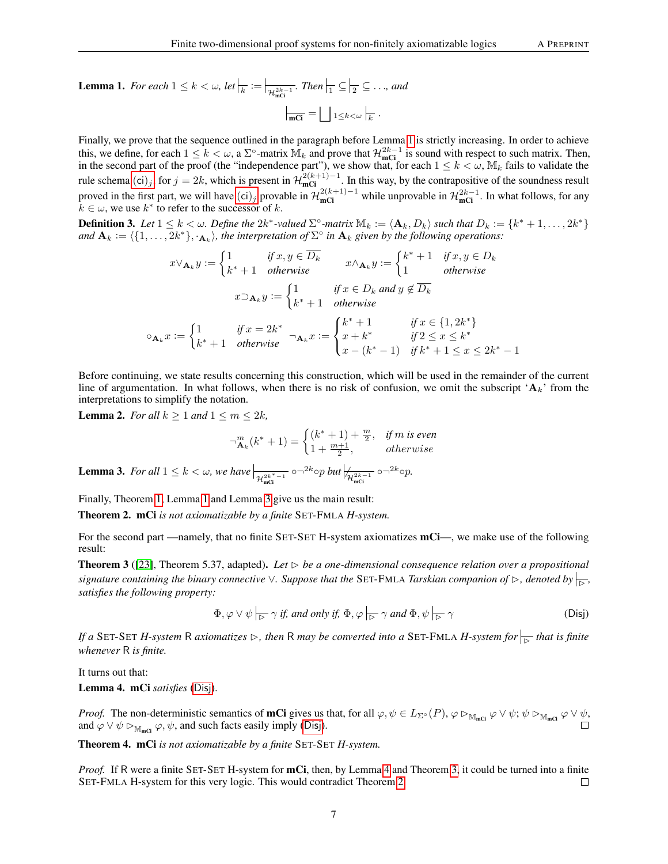<span id="page-6-1"></span>**Lemma 1.** For each  $1 \leq k < \omega$ , let  $\vert_{\overline{k}} := \vert_{\mathcal{H}^{2k-1}_{\text{mGI}}}$ . Then  $\vert_{\overline{1}} \subseteq \vert_{\overline{2}} \subseteq \ldots$ , and  $\overline{\text{mCi}} = \bigsqcup_{1 \leq k < \omega} \Big|_{k}$ .

Finally, we prove that the sequence outlined in the paragraph before Lemma [1](#page-6-1) is strictly increasing. In order to achieve this, we define, for each  $1 \leq k < \omega$ , a  $\Sigma^{\circ}$ -matrix  $\mathbb{M}_k$  and prove that  $\mathcal{H}_{\text{mCi}}^{2k-1}$  is sound with respect to such matrix. Then, in the second part of the proof (the "independence part"), we show that, for each  $1 \le k \le \omega$ ,  $\mathbb{M}_k$  fails to validate the rule schema  $(ci)_j$  $(ci)_j$  $(ci)_j$ , for  $j = 2k$ , which is present in  $\mathcal{H}_{\text{mCi}}^{2(k+1)-1}$ . In this way, by the contrapositive of the soundness result proved in the first part, we will have  $(ii)_j$  provable in  $\mathcal{H}^{2(k+1)-1}_{\text{mCi}}$  while unprovable in  $\mathcal{H}^{2k-1}_{\text{mCi}}$ . In what follows, for any  $\hat{k} \in \omega$ , we use  $k^*$  to refer to the successor of k.

**Definition 3.** Let  $1 \leq k < \omega$ . Define the  $2k^*$ -valued  $\Sigma^{\circ}$ -matrix  $\mathbb{M}_k := \langle \mathbf{A}_k, D_k \rangle$  such that  $D_k := \{k^* + 1, \ldots, 2k^*\}$ *and*  $A_k := \langle \{1, \ldots, 2k^*\}, \cdot_{A_k} \rangle$ , the interpretation of  $\Sigma^{\circ}$  in  $A_k$  given by the following operations:

$$
x \vee_{\mathbf{A}_k} y := \begin{cases} 1 & \text{if } x, y \in \overline{D_k} \\ k^* + 1 & \text{otherwise} \end{cases} \qquad x \wedge_{\mathbf{A}_k} y := \begin{cases} k^* + 1 & \text{if } x, y \in D_k \\ 1 & \text{otherwise} \end{cases}
$$
\n
$$
x \supset_{\mathbf{A}_k} y := \begin{cases} 1 & \text{if } x \in D_k \text{ and } y \notin \overline{D_k} \\ k^* + 1 & \text{otherwise} \end{cases}
$$
\n
$$
\mathbf{A}_k x := \begin{cases} 1 & \text{if } x = 2k^* \\ k^* + 1 & \text{otherwise} \end{cases} \qquad \mathbf{A}_k x := \begin{cases} k^* + 1 & \text{if } x \in \{1, 2k^*\} \\ x + k^* & \text{if } 2 \le x \le k^* \\ x - (k^* - 1) & \text{if } k^* + 1 \le x \le 2k^* - 1 \end{cases}
$$

Before continuing, we state results concerning this construction, which will be used in the remainder of the current line of argumentation. In what follows, when there is no risk of confusion, we omit the subscript  $A_k$ ' from the interpretations to simplify the notation.

<span id="page-6-6"></span>**Lemma 2.** *For all*  $k \geq 1$  *and*  $1 \leq m \leq 2k$ *,* 

 $\circ$ 

$$
\neg_{\mathbf{A}_k}^m(k^*+1) = \begin{cases} (k^*+1) + \frac{m}{2}, & \text{if } m \text{ is even} \\ 1 + \frac{m+1}{2}, & \text{otherwise} \end{cases}
$$

<span id="page-6-0"></span>**Lemma 3.** For all  $1 \le k < \omega$ , we have  $\frac{1}{\mathcal{H}_{\text{mGI}}^{2k^*-1}} \circ \neg^{2k} \circ p$  but  $\frac{1}{\mathcal{H}_{\text{mGI}}^{2k-1}} \circ \neg^{2k} \circ p$ .

Finally, Theorem [1,](#page-5-4) Lemma [1](#page-6-1) and Lemma [3](#page-6-0) give us the main result:

<span id="page-6-5"></span>Theorem 2. mCi *is not axiomatizable by a finite* SET-FMLA *H-system.*

For the second part —namely, that no finite SET-SET H-system axiomatizes  $mCi$ —, we make use of the following result:

<span id="page-6-4"></span>**Theorem 3** ([\[23\]](#page-12-1), Theorem 5.37, adapted). Let  $\triangleright$  be a one-dimensional consequence relation over a propositional *signature containing the binary connective*  $\vee$ *. Suppose that the* SET-FMLA *Tarskian companion of*  $\triangleright$ *, denoted by*  $\frac{1}{\triangleright}$ *, satisfies the following property:*

<span id="page-6-2"></span>
$$
\Phi, \varphi \lor \psi \mid_{\triangleright} \gamma \text{ if, and only if, } \Phi, \varphi \mid_{\triangleright} \gamma \text{ and } \Phi, \psi \mid_{\triangleright} \gamma \tag{Disj}
$$

*If a* SET-SET *H*-system R axiomatizes  $\triangleright$ , then R may be converted into a SET-FMLA *H*-system for  $\vert_{\rhd}$  that is finite *whenever* R *is finite.*

It turns out that:

<span id="page-6-3"></span>Lemma 4. mCi *satisfies* ([Disj](#page-6-2)).

*Proof.* The non-deterministic semantics of **mCi** gives us that, for all  $\varphi, \psi \in L_{\Sigma^{\circ}}(P)$ ,  $\varphi \triangleright_{\mathbb{M}_{\text{mCl}}} \varphi \vee \psi$ ;  $\psi \triangleright_{\mathbb{M}_{\text{mCl}}} \varphi \vee \psi$ , and  $\varphi \lor \psi \rhd_{\mathbb{M}_{\text{mCl}}} \varphi, \psi$ , and such facts easily imply ([Disj](#page-6-2)).

Theorem 4. mCi *is not axiomatizable by a finite* SET-SET *H-system.*

*Proof.* If R were a finite SET-SET H-system for **mCi**, then, by Lemma [4](#page-6-3) and Theorem [3,](#page-6-4) it could be turned into a finite SET-FMLA H-system for this very logic. This would contradict Theorem [2.](#page-6-5)  $\Box$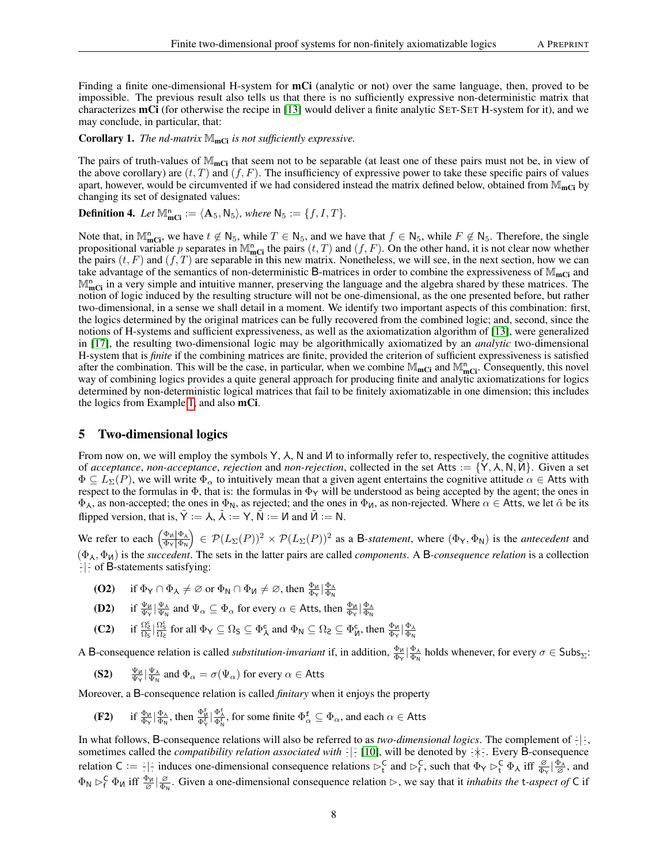Finding a finite one-dimensional H-system for **mCi** (analytic or not) over the same language, then, proved to be impossible. The previous result also tells us that there is no sufficiently expressive non-deterministic matrix that characterizes mCi (for otherwise the recipe in [\[13\]](#page-11-0) would deliver a finite analytic SET-SET H-system for it), and we may conclude, in particular, that:

**Corollary 1.** *The nd-matrix*  $M_{\text{mCi}}$  *is not sufficiently expressive.* 

The pairs of truth-values of  $M_{\text{mCi}}$  that seem not to be separable (at least one of these pairs must not be, in view of the above corollary) are  $(t, T)$  and  $(f, F)$ . The insufficiency of expressive power to take these specific pairs of values apart, however, would be circumvented if we had considered instead the matrix defined below, obtained from  $M_{\text{mCi}}$  by changing its set of designated values:

<span id="page-7-1"></span>**Definition 4.** Let  $\mathbb{M}_{\text{mCi}}^n := \langle \mathbf{A}_5, \mathsf{N}_5 \rangle$ , where  $\mathsf{N}_5 := \{f, I, T\}.$ 

Note that, in  $\mathbb{M}_{\text{mCi}}^n$ , we have  $t \notin \mathbb{N}_5$ , while  $T \in \mathbb{N}_5$ , and we have that  $f \in \mathbb{N}_5$ , while  $F \notin \mathbb{N}_5$ . Therefore, the single propositional variable p separates in  $\mathbb{M}_{\text{mCi}}^n$  the pairs  $(t, T)$  and  $(f, F)$ . On the other hand, it is not clear now whether the pairs  $(t, F)$  and  $(f, T)$  are separable in this new matrix. Nonetheless, we will see, in the next section, how we can take advantage of the semantics of non-deterministic B-matrices in order to combine the expressiveness of  $M_{\text{mCi}}$  and  $M_{\text{mCi}}^n$  in a very simple and intuitive manner, preserving the language and the algebra shared by these matrices. The notion of logic induced by the resulting structure will not be one-dimensional, as the one presented before, but rather two-dimensional, in a sense we shall detail in a moment. We identify two important aspects of this combination: first, the logics determined by the original matrices can be fully recovered from the combined logic; and, second, since the notions of H-systems and sufficient expressiveness, as well as the axiomatization algorithm of [\[13\]](#page-11-0), were generalized in [\[17\]](#page-12-5), the resulting two-dimensional logic may be algorithmically axiomatized by an *analytic* two-dimensional H-system that is *finite* if the combining matrices are finite, provided the criterion of sufficient expressiveness is satisfied after the combination. This will be the case, in particular, when we combine  $\mathbb{M}_{\text{mCi}}$  and  $\mathbb{M}_{\text{mCi}}^n$ . Consequently, this novel way of combining logics provides a quite general approach for producing finite and analytic axiomatizations for logics determined by non-deterministic logical matrices that fail to be finitely axiomatizable in one dimension; this includes the logics from Example [1,](#page-4-1) and also mCi.

#### <span id="page-7-0"></span>5 Two-dimensional logics

From now on, we will employ the symbols  $Y$ ,  $\lambda$ , N and  $\mu$  to informally refer to, respectively, the cognitive attitudes of *acceptance*, *non-acceptance*, *rejection* and *non-rejection*, collected in the set Atts := {Y, A, N, *M*}. Given a set  $\Phi \subseteq L_{\Sigma}(P)$ , we will write  $\Phi_{\alpha}$  to intuitively mean that a given agent entertains the cognitive attitude  $\alpha \in$  Atts with respect to the formulas in  $\Phi$ , that is: the formulas in  $\Phi_Y$  will be understood as being accepted by the agent; the ones in  $\Phi_A$ , as non-accepted; the ones in  $\Phi_N$ , as rejected; and the ones in  $\Phi_M$ , as non-rejected. Where  $\alpha \in$  Atts, we let  $\tilde{\alpha}$  be its flipped version, that is,  $\tilde{Y} := \lambda$ ,  $\tilde{\lambda} := Y$ ,  $\tilde{N} := N$  and  $\tilde{M} := N$ .

We refer to each  $\left(\frac{\Phi_{\mathsf{M}}|\Phi_{\mathsf{A}}}{\Phi_{\mathsf{A}}|\Phi_{\mathsf{M}}}\right)$  $\frac{\Phi_M|\Phi_{\lambda}}{\Phi_{\rm Y}|\Phi_{\rm N}}$   $\in$   $\mathcal{P}(L_{\Sigma}(P))^2 \times \mathcal{P}(L_{\Sigma}(P))^2$  as a B-statement, where  $(\Phi_{\rm Y}, \Phi_{\rm N})$  is the *antecedent* and  $(\Phi_{\lambda}, \Phi_{\mu})$  is the *succedent*. The sets in the latter pairs are called *components*. A B-consequence relation is a collection  $\frac{1}{x}$  of B-statements satisfying:

- (**O2**) if  $\Phi_{\mathsf{Y}} \cap \Phi_{\mathsf{A}} \neq \varnothing$  or  $\Phi_{\mathsf{N}} \cap \Phi_{\mathsf{U}} \neq \varnothing$ , then  $\frac{\Phi_{\mathsf{U}}}{\Phi_{\mathsf{Y}}} \big| \frac{\Phi_{\mathsf{A}}}{\Phi_{\mathsf{N}}}$
- **(D2)** if  $\frac{\Psi_{\mathsf{M}}}{\Psi_{\mathsf{Y}}} \Big| \frac{\Psi_{\mathsf{A}}}{\Psi_{\mathsf{N}}}$  and  $\Psi_{\alpha} \subseteq \Phi_{\alpha}$  for every  $\alpha \in$  Atts, then  $\frac{\Phi_{\mathsf{M}}}{\Phi_{\mathsf{Y}}} \Big| \frac{\Phi_{\mathsf{A}}}{\Phi_{\mathsf{N}}}$
- (C2) if  $\frac{\Omega_{\mathcal{E}}^{\mathcal{E}}}{\Omega_{\mathcal{E}}} \big| \frac{\Omega_{\mathcal{E}}^{\mathcal{E}}}{\Omega_{\mathcal{E}}}$  for all  $\Phi_{\mathsf{Y}} \subseteq \Omega_{\mathcal{S}} \subseteq \Phi_{\mathsf{A}}^{\mathcal{C}}$  and  $\Phi_{\mathsf{N}} \subseteq \Omega_{\mathcal{E}} \subseteq \Phi_{\mathsf{N}}^{\mathcal{C}}$ , then  $\frac{\Phi_{\mathsf{M}}}{\Phi_{\mathsf{Y}}} \big| \frac{\Phi_{\mathsf{A}}}{\Phi_{\mathsf{N}}}$

A B-consequence relation is called *substitution-invariant* if, in addition,  $\frac{\Phi_{\mathcal{U}}}{\Phi_{\mathcal{N}}} \Big| \frac{\Phi_{\mathcal{A}}}{\Phi_{\mathcal{N}}}$  holds whenever, for every  $\sigma \in \mathsf{Subs}_{\Sigma}$ :

**(S2)** 
$$
\frac{\Psi_{\mathsf{M}}}{\Psi_{\mathsf{Y}}}\big|\frac{\Psi_{\mathsf{A}}}{\Psi_{\mathsf{N}}}
$$
 and  $\Phi_{\alpha} = \sigma(\Psi_{\alpha})$  for every  $\alpha \in$  Atts

Moreover, a B-consequence relation is called *finitary* when it enjoys the property

(F2) if 
$$
\frac{\Phi_{\mathsf{M}}}{\Phi_{\mathsf{Y}}}\ket{\frac{\Phi_{\mathsf{A}}}{\Phi_{\mathsf{N}}}},
$$
 then  $\frac{\Phi_{\mathsf{M}}^{\sharp}}{\Phi_{\mathsf{Y}}^{\sharp}}\ket{\frac{\Phi_{\mathsf{A}}^{\sharp}}{\Phi_{\mathsf{N}}^{\sharp}}},$  for some finite  $\Phi_{\alpha}^{\sharp} \subseteq \Phi_{\alpha}$ , and each  $\alpha \in$  Atts

In what follows, B-consequence relations will also be referred to as *two-dimensional logics*. The complement of  $\cdot | \cdot$ , sometimes called the *compatibility relation associated with*  $\cdot$  [\[10\]](#page-11-4), will be denoted by  $\cdot$   $\cdot$ . Every **B**-consequence relation C :=  $\frac{1}{2}$  induces one-dimensional consequence relations  $\triangleright^C_t$  and  $\triangleright^C_f$ , such that  $\Phi_Y \triangleright^C_t \Phi_A$  iff  $\frac{\varnothing}{\varnothing_Y} | \frac{\Phi_A}{\varnothing}$ , and  $\Phi_{\mathsf{N}} \rhd_{\mathsf{f}}^{\mathsf{C}} \Phi_{\mathsf{M}}$  iff  $\frac{\Phi_{\mathsf{M}}}{\varnothing} | \frac{\varnothing}{\Phi_{\mathsf{N}}}$  $\frac{\varnothing}{\Phi_N}$ . Given a one-dimensional consequence relation  $\triangleright$ , we say that it *inhabits the* t-*aspect of* C if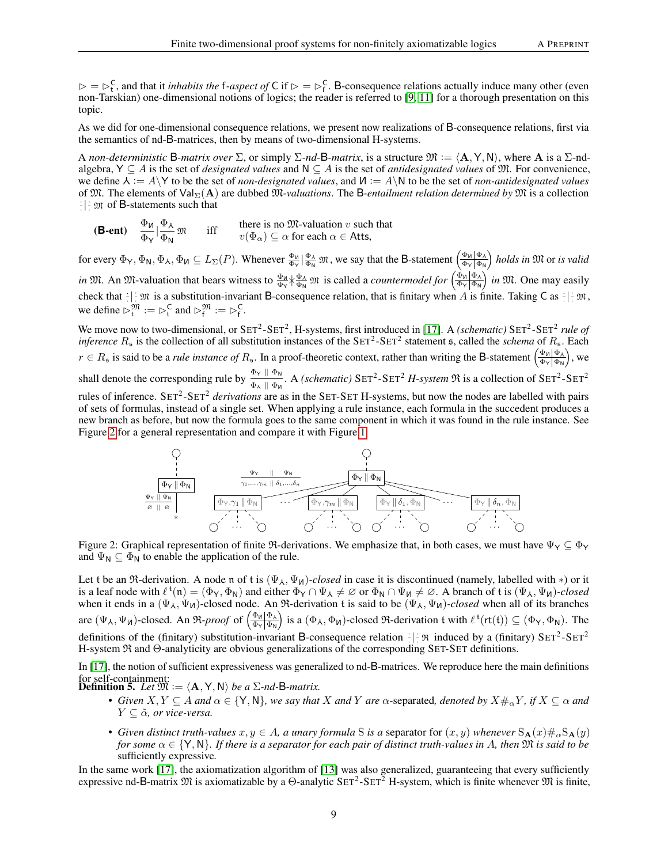$\triangleright = \triangleright$ <sup>C</sup>, and that it *inhabits the* f-aspect of C if  $\triangleright = \triangleright$ <sup>C</sup>. B-consequence relations actually induce many other (even non-Tarskian) one-dimensional notions of logics; the reader is referred to [\[9,](#page-11-2) [11\]](#page-11-1) for a thorough presentation on this topic.

As we did for one-dimensional consequence relations, we present now realizations of B-consequence relations, first via the semantics of nd-B-matrices, then by means of two-dimensional H-systems.

A *non-deterministic* B-*matrix over*  $\Sigma$ , or simply  $\Sigma$ -*nd*-B-*matrix*, is a structure  $\mathfrak{M} := \langle \mathbf{A}, \mathbf{Y}, \mathbf{N} \rangle$ , where A is a  $\Sigma$ -ndalgebra,  $Y ⊂ A$  is the set of *designated values* and  $N ⊂ A$  is the set of *antidesignated values* of  $\mathfrak{M}$ . For convenience, we define  $\lambda := A \setminus Y$  to be the set of *non-designated values*, and  $M := A \setminus N$  to be the set of *non-antidesignated values* of M. The elements of ValΣ(A) are dubbed M*-valuations*. The B*-entailment relation determined by* M is a collection  $\frac{1}{x}$   $\frac{1}{x}$   $\frac{1}{x}$  of B-statements such that

**(B-ent)** 
$$
\frac{\Phi_{\mathsf{M}}}{\Phi_{\mathsf{Y}}}|\frac{\Phi_{\mathsf{A}}}{\Phi_{\mathsf{N}}}
$$
  $\mathfrak{M}$  iff there is no  $\mathfrak{M}$ -valuation  $v$  such that  $v(\Phi_{\alpha}) \subseteq \alpha$  for each  $\alpha \in$  Atts,

for every  $\Phi_{\mathsf{Y}}, \Phi_{\mathsf{N}}, \Phi_{\mathsf{M}} \subseteq L_{\Sigma}(P)$ . Whenever  $\frac{\Phi_{\mathsf{M}}}{\Phi_{\mathsf{Y}}} \big| \frac{\Phi_{\mathsf{A}}}{\Phi_{\mathsf{N}}}$   $\mathfrak{M}$ , we say that the B-statement  $\left(\frac{\Phi_{\mathsf{M}} | \Phi_{\mathsf{A}}}{\Phi_{\mathsf{Y}} | \Phi_{\mathsf{N}}} \right)$ Φ<sup>Y</sup> Φ<sup>N</sup> *holds in* M or *is valid in*  $\mathfrak{M}$ . An  $\mathfrak{M}$ -valuation that bears witness to  $\frac{\Phi_{\mathsf{M}}}{\Phi_{\mathsf{Y}}} \frac{\Phi_{\mathsf{A}}}{\Phi_{\mathsf{N}}}$   $\mathfrak{M}$  is called a *countermodel for*  $\left(\frac{\Phi_{\mathsf{M}} | \Phi_{\mathsf{A}}}{\Phi_{\mathsf{Y}} | \Phi_{\mathsf{N}}} \right)$  $\frac{\Phi_{\mathsf{M}}|\Phi_{\mathsf{A}}}{\Phi_{\mathsf{Y}}|\Phi_{\mathsf{N}}|}$  *in*  $\mathfrak{M}$ . One may easily check that  $\frac{1}{x}$   $\mathfrak{M}$  is a substitution-invariant B-consequence relation, that is finitary when A is finite. Taking C as  $\frac{1}{x}$   $\mathfrak{M}$ , we define  $\triangleright_t^{\mathfrak{M}} := \triangleright_t^{\mathsf{C}}$  and  $\triangleright_f^{\mathfrak{M}} := \triangleright_f^{\mathsf{C}}$ .

We move now to two-dimensional, or SET<sup>2</sup>-SET<sup>2</sup>, H-systems, first introduced in [\[17\]](#page-12-5). A *(schematic)* SET<sup>2</sup>-SET<sup>2</sup> rule of *inference*  $R_s$  is the collection of all substitution instances of the  $SET^2$ - $SET^2$  statement  $s$ , called the *schema* of  $R_s$ . Each  $r \in R_{\mathfrak{s}}$  is said to be a *rule instance of*  $R_{\mathfrak{s}}$ . In a proof-theoretic context, rather than writing the B-statement  $\left(\frac{\Phi_{\mathfrak{h}}|\Phi_{\lambda}}{\Phi_{\mathfrak{h}}|\Phi_{\mathfrak{h}}}\right)$  $\frac{\Phi_{\mathsf{M}}|\Phi_{\lambda}}{\Phi_{\mathsf{Y}}|\Phi_{\mathsf{N}}}\Big)$ , we shall denote the corresponding rule by  $\frac{\Phi_{\rm Y} \parallel \Phi_{\rm N}}{2\pi \cdot \ln \pi}$  $\frac{\Psi\vee\parallel\Psi_N}{\Phi_{\lambda}\parallel\Phi_N}$ . A *(schematic)* SET<sup>2</sup>-SET<sup>2</sup> *H-system*  $\Re$  is a collection of SET<sup>2</sup>-SET<sup>2</sup> rules of inference. SET<sup>2</sup>-SET<sup>2</sup> *derivations* are as in the SET-SET H-systems, but now the nodes are labelled with pairs of sets of formulas, instead of a single set. When applying a rule instance, each formula in the succedent produces a new branch as before, but now the formula goes to the same component in which it was found in the rule instance. See Figure [2](#page-8-0) for a general representation and compare it with Figure [1.](#page-3-0)

<span id="page-8-0"></span>

Figure 2: Graphical representation of finite  $\Re$ -derivations. We emphasize that, in both cases, we must have  $\Psi_Y \subseteq \Phi_Y$ and  $\Psi_N \subseteq \Phi_N$  to enable the application of the rule.

Let t be an  $\Re$ -derivation. A node n of t is  $(\Psi_{\lambda}, \Psi_{\mu})$ -closed in case it is discontinued (namely, labelled with \*) or it is a leaf node with  $\ell^{\mathfrak{t}}(\mathfrak{n}) = (\Phi_Y, \Phi_N)$  and either  $\Phi_Y \cap \Psi_A \neq \emptyset$  or  $\Phi_N \cap \Psi_M \neq \emptyset$ . A branch of t is  $(\Psi_\lambda, \Psi_\lambda)$ -closed when it ends in a  $(\Psi_{\lambda}, \Psi_{\text{M}})$ -closed node. An  $\Re$ -derivation t is said to be  $(\Psi_{\lambda}, \Psi_{\text{M}})$ -closed when all of its branches are  $(\Psi_{\lambda}, \Psi_{\lambda})$ -closed. An  $\Re$ -*proof* of  $\left(\frac{\Phi_{\lambda}|\Phi_{\lambda}|}{\Phi_{\lambda}|\Phi_{\lambda}|}\right)$  $\frac{\Phi_{\mathsf{M}}|\Phi_{\lambda}}{\Phi_{\mathsf{Y}}|\Phi_{\mathsf{N}}|}$  is a  $(\Phi_{\lambda}, \Phi_{\mathsf{M}})$ -closed  $\mathfrak{R}$ -derivation t with  $\ell^{\mathfrak{t}}(\mathsf{rt}(\mathfrak{t})) \subseteq (\Phi_{\mathsf{Y}}, \Phi_{\mathsf{N}})$ . The definitions of the (finitary) substitution-invariant B-consequence relation  $\frac{1}{2}$   $\frac{1}{2}$   $\frac{1}{2}$  induced by a (finitary) SET<sup>2</sup>-SET<sup>2</sup> H-system R and Θ-analyticity are obvious generalizations of the corresponding SET-SET definitions.

In [\[17\]](#page-12-5), the notion of sufficient expressiveness was generalized to nd-B-matrices. We reproduce here the main definitions for self-containment:<br>**Definition 5.** *Let*  $\mathfrak{M} := \langle A, Y, N \rangle$  *be a* Σ*-nd-*B*-matrix.* 

- *Given*  $X, Y \subseteq A$  *and*  $\alpha \in \{Y, N\}$ *, we say that* X *and* Y *are*  $\alpha$ -separated*, denoted by*  $X \neq_{\alpha} Y$ *, if*  $X \subseteq \alpha$  *and*  $Y \subseteq \tilde{\alpha}$ *, or vice-versa.*
- *Given distinct truth-values*  $x, y \in A$ *, a unary formula* S *is a separator for*  $(x, y)$  *whenever*  $S_{A}(x) \#_{\alpha} S_{A}(y)$ *for some*  $\alpha \in \{Y, N\}$ *. If there is a separator for each pair of distinct truth-values in A, then*  $\mathfrak M$  *is said to be* sufficiently expressive*.*

In the same work [\[17\]](#page-12-5), the axiomatization algorithm of [\[13\]](#page-11-0) was also generalized, guaranteeing that every sufficiently expressive nd-B-matrix  $M$  is axiomatizable by a  $\Theta$ -analytic SET<sup>2</sup>-SET<sup>2</sup> H-system, which is finite whenever  $M$  is finite,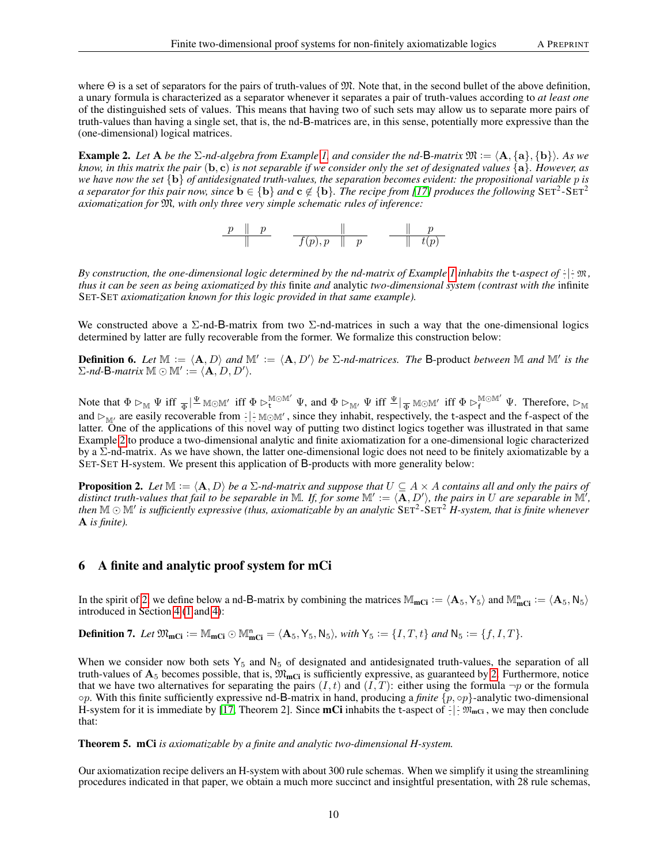where  $\Theta$  is a set of separators for the pairs of truth-values of  $\mathfrak{M}$ . Note that, in the second bullet of the above definition, a unary formula is characterized as a separator whenever it separates a pair of truth-values according to *at least one* of the distinguished sets of values. This means that having two of such sets may allow us to separate more pairs of truth-values than having a single set, that is, the nd-B-matrices are, in this sense, potentially more expressive than the (one-dimensional) logical matrices.

<span id="page-9-1"></span>**Example 2.** Let  $A$  be the  $\Sigma$ -nd-algebra from Example [1,](#page-4-1) and consider the nd-B-matrix  $\mathfrak{M} := \langle A, \{a\}, \{b\} \rangle$ . As we *know, in this matrix the pair* ( $\mathbf{b}, \mathbf{c}$ ) *is not separable if we consider only the set of designated values*  $\{a\}$ *. However, as we have now the set* {b} *of antidesignated truth-values, the separation becomes evident: the propositional variable* p *is* a separator for this pair now, since  $b \in \{b\}$  and  $c \notin \{b\}$ . The recipe from [\[17\]](#page-12-5) produces the following  $\text{SET}^2\text{-}\text{SET}^2$ *axiomatization for* M*, with only three very simple schematic rules of inference:*



By construction, the one-dimensional logic determined by the nd-matrix of Example [1](#page-4-1) inhabits the t-aspect of  $-\mid \mathfrak{M}$ , *thus it can be seen as being axiomatized by this* finite *and* analytic *two-dimensional system (contrast with the* infinite SET-SET *axiomatization known for this logic provided in that same example).*

We constructed above a  $\Sigma$ -nd-B-matrix from two  $\Sigma$ -nd-matrices in such a way that the one-dimensional logics determined by latter are fully recoverable from the former. We formalize this construction below:

**Definition 6.** Let  $\mathbb{M} := \langle A, D \rangle$  and  $\mathbb{M}' := \langle A, D' \rangle$  be  $\Sigma$ -nd-matrices. The B-product between  $\mathbb M$  and  $\mathbb M'$  is the  $\Sigma$ *-nd*-**B***-matrix*  $\mathbb{M} \odot \mathbb{M}' := \langle \mathbf{A}, D, D' \rangle$ .

Note that  $\Phi \rhd_{\mathbb{M}} \Psi$  iff  $_{\overline{\Phi}} \mid \stackrel{\Psi}{=} \mathbb{M} \odot \mathbb{M}'$  iff  $\Phi \rhd_{\mathsf{t}}^{\mathbb{M} \odot \mathbb{M}'} \Psi$ , and  $\Phi \rhd_{\mathbb{M}'} \Psi$  iff  $\stackrel{\Psi}{=} \mid_{\overline{\Phi}} \mathbb{M} \odot \mathbb{M}'$  iff  $\Phi \rhd_{\mathsf{f}}^{\mathbb{M} \odot \mathbb{M}'} \Psi$ . Therefore,  $\rhd_{\mathbb$ and  $\rhd_{\mathbb{M}'}$  are easily recoverable from  $\vdash \mathbb{M} \odot \mathbb{M}'$ , since they inhabit, respectively, the t-aspect and the f-aspect of the latter. One of the applications of this novel way of putting two distinct logics together was illustrated in that same Example [2](#page-9-1) to produce a two-dimensional analytic and finite axiomatization for a one-dimensional logic characterized by a Σ-nd-matrix. As we have shown, the latter one-dimensional logic does not need to be finitely axiomatizable by a SET-SET H-system. We present this application of B-products with more generality below:

<span id="page-9-2"></span>**Proposition 2.** Let  $\mathbb{M} := \langle \mathbf{A}, D \rangle$  be a  $\Sigma$ -nd-matrix and suppose that  $U \subseteq A \times A$  contains all and only the pairs of distinct truth-values that fail to be separable in M. If, for some  $\mathbb{M}' := \langle \overline{A}, D' \rangle$ , the pairs in U are separable in  $\mathbb{M}'$ , then  $\mathbb{M}\odot\mathbb{M}'$  is sufficiently expressive (thus, axiomatizable by an analytic  $\text{SET}^2$ - $\text{SET}^2$   $H$ -system, that is finite whenever A *is finite).*

### <span id="page-9-0"></span>6 A finite and analytic proof system for mCi

In the spirit of [2,](#page-9-2) we define below a nd-B-matrix by combining the matrices  $\mathbb{M}_{\text{mCi}} := \langle \mathbf{A}_5, \mathbf{Y}_5 \rangle$  and  $\mathbb{M}_{\text{mCi}}^n := \langle \mathbf{A}_5, \mathbf{N}_5 \rangle$ introduced in Section [4](#page-4-0) [\(1](#page-5-5) and [4\)](#page-7-1):

**Definition 7.** Let  $\mathfrak{M}_{\text{mCi}} := \mathbb{M}_{\text{mCi}} \odot \mathbb{M}_{\text{mCi}}^{\text{n}} = \langle \mathbf{A}_5, \mathbf{Y}_5, \mathbf{N}_5 \rangle$ , with  $\mathbf{Y}_5 := \{I, T, t\}$  and  $\mathbf{N}_5 := \{f, I, T\}$ .

When we consider now both sets  $Y_5$  and  $N_5$  of designated and antidesignated truth-values, the separation of all truth-values of  $A_5$  becomes possible, that is,  $\mathfrak{M}_{mCl}$  is sufficiently expressive, as guaranteed by [2.](#page-9-2) Furthermore, notice that we have two alternatives for separating the pairs  $(I, t)$  and  $(I, T)$ : either using the formula  $\neg p$  or the formula ◦p. With this finite sufficiently expressive nd-B-matrix in hand, producing a *finite* {p, ◦p}-analytic two-dimensional H-system for it is immediate by [\[17,](#page-12-5) Theorem 2]. Since **mCi** inhabits the t-aspect of  $\frac{1}{2}$   $\mathbb{R}_{\text{mCi}}$ , we may then conclude that:

Theorem 5. mCi *is axiomatizable by a finite and analytic two-dimensional H-system.*

Our axiomatization recipe delivers an H-system with about 300 rule schemas. When we simplify it using the streamlining procedures indicated in that paper, we obtain a much more succinct and insightful presentation, with 28 rule schemas,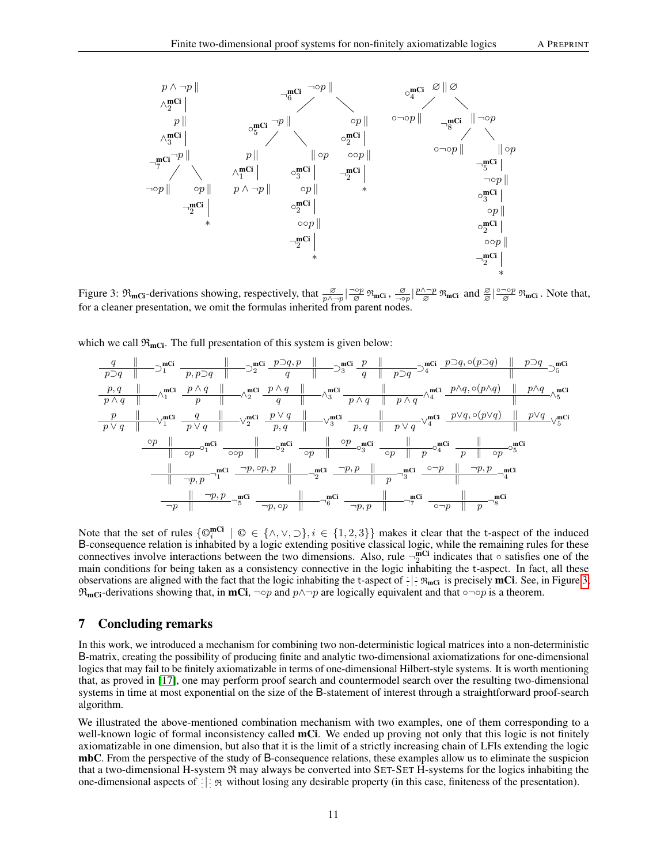<span id="page-10-0"></span>

Figure 3:  $\mathfrak{R}_{\text{mCi}}$ -derivations showing, respectively, that  $\frac{\varnothing}{p \wedge \neg p}$   $\frac{\neg \circ p}{\varnothing} \mathfrak{R}_{\text{mCi}}$ ,  $\frac{\varnothing}{\neg \circ}$  $\frac{\mathscr{D}}{\neg \circ p}$   $\frac{p \land \neg p}{\mathscr{D}}$   $\mathfrak{R}_{\text{mCl}}$  and  $\frac{\mathscr{D}}{\mathscr{D}}$   $\frac{\circ \neg \circ p}{\mathscr{D}}$   $\mathfrak{R}_{\text{mCl}}$ . Note that, for a cleaner presentation, we omit the formulas inherited from parent nodes.

which we call  $\mathfrak{R}_{\text{mCi}}$ . The full presentation of this system is given below:

q k p⊃q k ⊃ mCi 1 p, p⊃q k ⊃ mCi 2 p⊃q, p k q k ⊃ mCi 3 p k q k p⊃q ⊃ mCi 4 p⊃q, ◦(p⊃q) k p⊃q ⊃ mCi 5 p, q k p ∧ q k ∧ mCi 1 p ∧ q k p k ∧ mCi 2 p ∧ q k q k ∧ mCi 3 k p ∧ q k p ∧ q ∧ mCi 4 p∧q, ◦(p∧q) k p∧q k ∧ mCi 5 p k p ∨ q k ∨ mCi 1 q k p ∨ q k ∨ mCi 2 p ∨ q k p, q k ∨ mCi 3 p, q k p ∨ q ∨ mCi 4 p∨q, ◦(p∨q) k p∨q k ∨ mCi 5 ◦p k k ◦p ◦ mCi 1 ◦◦p k ◦ mCi 2 k ◦p ◦p k ◦ mCi 3 ◦p k p ◦ mCi 4 p k ◦p ◦ mCi 5 k k ¬p, p mCi 1 ¬p, ◦p, p k k mCi 2 ¬p, p k k p mCi 3 ◦¬p k ¬p, p k mCi 4 k ¬p, p ¬p k mCi 5 ¬p, ◦p k mCi 6 ¬p, p k mCi 7 ◦¬p k p mCi 8

Note that the set of rules  $\{\mathbb{O}_i^{mC_i} \mid \mathbb{O} \in \{\wedge, \vee, \supset\}, i \in \{1, 2, 3\}\}\$  makes it clear that the t-aspect of the induced B-consequence relation is inhabited by a logic extending positive classical logic, while the remaining rules for these connectives involve interactions between the two dimensions. Also, rule  $\neg_{2}^{\text{mCi}}$  indicates that  $\circ$  satisfies one of the main conditions for being taken as a consistency connective in the logic inhabiting the t-aspect. In fact, all these observations are aligned with the fact that the logic inhabiting the t-aspect of  $\mathbb{R}_{\text{mCi}}$  is precisely **mCi**. See, in Figure [3,](#page-10-0)  $\mathfrak{R}_{\text{mCl}}$ -derivations showing that, in **mCi**, ¬op and  $p \wedge \neg p$  are logically equivalent and that ∘¬∘p is a theorem.

#### 7 Concluding remarks

In this work, we introduced a mechanism for combining two non-deterministic logical matrices into a non-deterministic B-matrix, creating the possibility of producing finite and analytic two-dimensional axiomatizations for one-dimensional logics that may fail to be finitely axiomatizable in terms of one-dimensional Hilbert-style systems. It is worth mentioning that, as proved in [\[17\]](#page-12-5), one may perform proof search and countermodel search over the resulting two-dimensional systems in time at most exponential on the size of the B-statement of interest through a straightforward proof-search algorithm.

We illustrated the above-mentioned combination mechanism with two examples, one of them corresponding to a well-known logic of formal inconsistency called **mCi**. We ended up proving not only that this logic is not finitely axiomatizable in one dimension, but also that it is the limit of a strictly increasing chain of LFIs extending the logic mbC. From the perspective of the study of B-consequence relations, these examples allow us to eliminate the suspicion that a two-dimensional H-system R may always be converted into SET-SET H-systems for the logics inhabiting the one-dimensional aspects of  $\frac{1}{x}$   $\frac{1}{x}$  without losing any desirable property (in this case, finiteness of the presentation).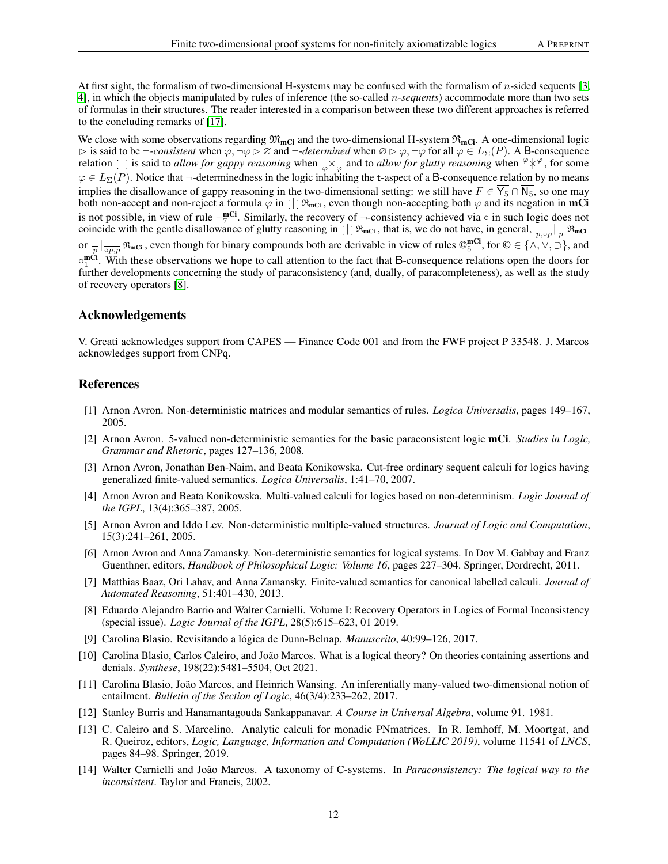At first sight, the formalism of two-dimensional H-systems may be confused with the formalism of n-sided sequents [\[3,](#page-11-11) [4\]](#page-11-12), in which the objects manipulated by rules of inference (the so-called n*-sequents*) accommodate more than two sets of formulas in their structures. The reader interested in a comparison between these two different approaches is referred to the concluding remarks of [\[17\]](#page-12-5).

We close with some observations regarding  $\mathfrak{M}_{mCl}$  and the two-dimensional H-system  $\mathfrak{R}_{mCl}$ . A one-dimensional logic  $\triangleright$  is said to be  $\neg$ -consistent when  $\varphi$ ,  $\neg \varphi \triangleright \varnothing$  and  $\neg$ -determined when  $\varnothing \triangleright \varphi$ ,  $\neg \varphi$  for all  $\varphi \in L_{\Sigma}(P)$ . A B-consequence relation  $|\cdot|$  is said to *allow for gappy reasoning* when  $\frac{1}{\varphi}$  and to *allow for glutty reasoning* when  $\frac{\varphi}{\varphi}$ , for some  $\varphi \in L_{\Sigma}(P)$ . Notice that  $\neg$ -determinedness in the logic inhabiting the t-aspect of a B-consequence relation by no means implies the disallowance of gappy reasoning in the two-dimensional setting: we still have  $F \in \overline{Y_5} \cap \overline{N_5}$ , so one may both non-accept and non-reject a formula  $\varphi$  in  $\cdot$  |  $\cdot \mathfrak{R}_{\text{mCi}}$ , even though non-accepting both  $\varphi$  and its negation in **mCi** is not possible, in view of rule  $\neg^{\text{mCi}}_{7}$ . Similarly, the recovery of  $\neg$ -consistency achieved via  $\circ$  in such logic does not S not possible, in view of rule  $\neg$ , Similarly, the recovery of  $\neg$ -consistency achieved via  $\circ$  in such logic does no<br>coincide with the gentle disallowance of glutty reasoning in  $\frac{1}{n}$ .  $\Re$ <sub>mCi</sub>, that is, we do n or  $\frac{1}{p}$   $\big|_{\overline{op}, p}$   $\Re_{\text{mCi}}$ , even though for binary compounds both are derivable in view of rules  $\mathbb{O}_5^{\text{mCi}}$ , for  $\mathbb{O} \in \{ \wedge, \vee, \supset \}$ , and  $\circ_1^m$ Ci. With these observations we hope to call attention to the fact that B-consequence relations open the doors for further developments concerning the study of paraconsistency (and, dually, of paracompleteness), as well as the study of recovery operators [\[8\]](#page-11-13).

#### Acknowledgements

V. Greati acknowledges support from CAPES — Finance Code 001 and from the FWF project P 33548. J. Marcos acknowledges support from CNPq.

#### References

- <span id="page-11-9"></span>[1] Arnon Avron. Non-deterministic matrices and modular semantics of rules. *Logica Universalis*, pages 149–167, 2005.
- <span id="page-11-10"></span>[2] Arnon Avron. 5-valued non-deterministic semantics for the basic paraconsistent logic mCi. *Studies in Logic, Grammar and Rhetoric*, pages 127–136, 2008.
- <span id="page-11-11"></span>[3] Arnon Avron, Jonathan Ben-Naim, and Beata Konikowska. Cut-free ordinary sequent calculi for logics having generalized finite-valued semantics. *Logica Universalis*, 1:41–70, 2007.
- <span id="page-11-12"></span>[4] Arnon Avron and Beata Konikowska. Multi-valued calculi for logics based on non-determinism. *Logic Journal of the IGPL*, 13(4):365–387, 2005.
- <span id="page-11-7"></span>[5] Arnon Avron and Iddo Lev. Non-deterministic multiple-valued structures. *Journal of Logic and Computation*, 15(3):241–261, 2005.
- <span id="page-11-5"></span>[6] Arnon Avron and Anna Zamansky. Non-deterministic semantics for logical systems. In Dov M. Gabbay and Franz Guenthner, editors, *Handbook of Philosophical Logic: Volume 16*, pages 227–304. Springer, Dordrecht, 2011.
- <span id="page-11-6"></span>[7] Matthias Baaz, Ori Lahav, and Anna Zamansky. Finite-valued semantics for canonical labelled calculi. *Journal of Automated Reasoning*, 51:401–430, 2013.
- <span id="page-11-13"></span>[8] Eduardo Alejandro Barrio and Walter Carnielli. Volume I: Recovery Operators in Logics of Formal Inconsistency (special issue). *Logic Journal of the IGPL*, 28(5):615–623, 01 2019.
- <span id="page-11-2"></span>[9] Carolina Blasio. Revisitando a lógica de Dunn-Belnap. *Manuscrito*, 40:99–126, 2017.
- <span id="page-11-4"></span>[10] Carolina Blasio, Carlos Caleiro, and João Marcos. What is a logical theory? On theories containing assertions and denials. *Synthese*, 198(22):5481–5504, Oct 2021.
- <span id="page-11-1"></span>[11] Carolina Blasio, João Marcos, and Heinrich Wansing. An inferentially many-valued two-dimensional notion of entailment. *Bulletin of the Section of Logic*, 46(3/4):233–262, 2017.
- <span id="page-11-3"></span>[12] Stanley Burris and Hanamantagouda Sankappanavar. *A Course in Universal Algebra*, volume 91. 1981.
- <span id="page-11-0"></span>[13] C. Caleiro and S. Marcelino. Analytic calculi for monadic PNmatrices. In R. Iemhoff, M. Moortgat, and R. Queiroz, editors, *Logic, Language, Information and Computation (WoLLIC 2019)*, volume 11541 of *LNCS*, pages 84–98. Springer, 2019.
- <span id="page-11-8"></span>[14] Walter Carnielli and João Marcos. A taxonomy of C-systems. In *Paraconsistency: The logical way to the inconsistent*. Taylor and Francis, 2002.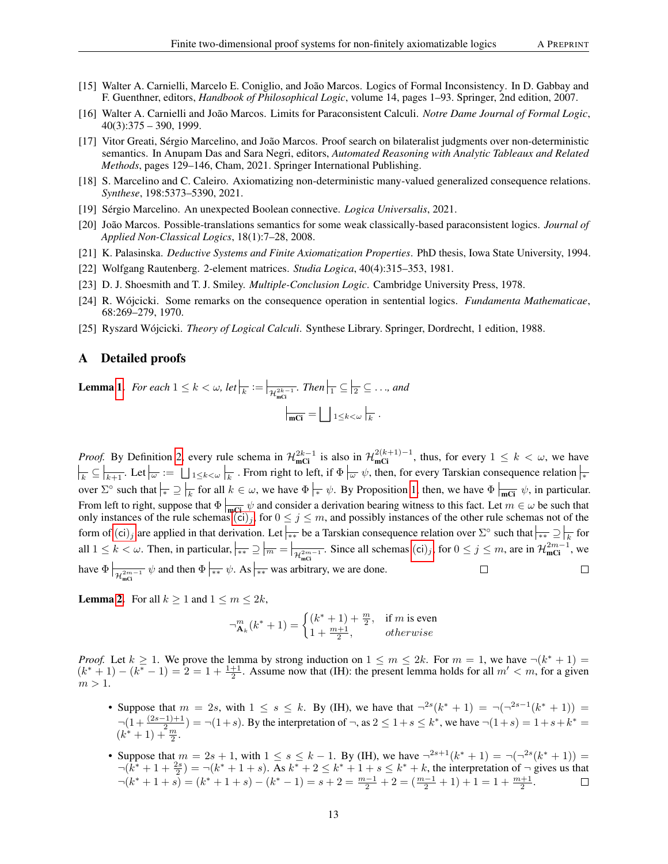- <span id="page-12-10"></span>[15] Walter A. Carnielli, Marcelo E. Coniglio, and João Marcos. Logics of Formal Inconsistency. In D. Gabbay and F. Guenthner, editors, *Handbook of Philosophical Logic*, volume 14, pages 1–93. Springer, 2nd edition, 2007.
- <span id="page-12-4"></span>[16] Walter A. Carnielli and João Marcos. Limits for Paraconsistent Calculi. *Notre Dame Journal of Formal Logic*, 40(3):375 – 390, 1999.
- <span id="page-12-5"></span>[17] Vitor Greati, Sérgio Marcelino, and João Marcos. Proof search on bilateralist judgments over non-deterministic semantics. In Anupam Das and Sara Negri, editors, *Automated Reasoning with Analytic Tableaux and Related Methods*, pages 129–146, Cham, 2021. Springer International Publishing.
- <span id="page-12-2"></span>[18] S. Marcelino and C. Caleiro. Axiomatizing non-deterministic many-valued generalized consequence relations. *Synthese*, 198:5373–5390, 2021.
- <span id="page-12-8"></span>[19] Sérgio Marcelino. An unexpected Boolean connective. *Logica Universalis*, 2021.
- <span id="page-12-9"></span>[20] João Marcos. Possible-translations semantics for some weak classically-based paraconsistent logics. *Journal of Applied Non-Classical Logics*, 18(1):7–28, 2008.
- <span id="page-12-3"></span>[21] K. Palasinska. *Deductive Systems and Finite Axiomatization Properties*. PhD thesis, Iowa State University, 1994.
- <span id="page-12-7"></span>[22] Wolfgang Rautenberg. 2-element matrices. *Studia Logica*, 40(4):315–353, 1981.
- <span id="page-12-1"></span>[23] D. J. Shoesmith and T. J. Smiley. *Multiple-Conclusion Logic*. Cambridge University Press, 1978.
- <span id="page-12-0"></span>[24] R. Wójcicki. Some remarks on the consequence operation in sentential logics. *Fundamenta Mathematicae*, 68:269–279, 1970.
- <span id="page-12-6"></span>[25] Ryszard Wójcicki. *Theory of Logical Calculi*. Synthese Library. Springer, Dordrecht, 1 edition, 1988.

#### A Detailed proofs

**Lemma [1.](#page-6-1)** For each  $1 \leq k < \omega$ , let  $\vert_{\overline{k}} := \vert_{\mathcal{H}^{2k-1}_{\text{mGI}}}$ . Then  $\vert_{\overline{1}} \subseteq \vert_{\overline{2}} \subseteq \ldots$ , and  $_{\overline{\text{mCi}}} = \bigsqcup_{1 \leq k < \omega} \Big|_{\overline{k}}$ .

*Proof.* By Definition [2,](#page-5-6) every rule schema in  $\mathcal{H}_{\text{mCi}}^{2k-1}$  is also in  $\mathcal{H}_{\text{mCi}}^{2(k+1)-1}$ , thus, for every  $1 \leq k < \omega$ , we have  $\frac{1}{k} \subseteq \boxed{k+1}$ . Let  $\boxed{\omega} := \boxed{\bigcup_{1 \leq k < \omega} \left| \frac{1}{k} \right|}$ . From right to left, if  $\Phi \left| \frac{1}{\omega} \psi$ , then, for every Tarskian consequence relation  $\right|_{\ast}$ over  $\Sigma^{\circ}$  such that  $\ket{\ast} \supseteq \frac{\ }{k}$  for all  $k \in \omega$ , we have  $\Phi \ket{\ast} \psi$ . By Proposition [1,](#page-5-7) then, we have  $\Phi \ket{\text{mct}} \psi$ , in particular. From left to right, suppose that  $\Phi|_{\overline{mCl}} \psi$  and consider a derivation bearing witness to this fact. Let  $m \in \omega$  be such that only instances of the rule schemas  $\overrightarrow{(ci)}_j$  $\overrightarrow{(ci)}_j$  $\overrightarrow{(ci)}_j$ , for  $0 \le j \le m$ , and possibly instances of the other rule schemas not of the form of  $(ci)_j$  $(ci)_j$  $(ci)_j$  are applied in that derivation. Let  $\frac{d}{dx}$  be a Tarskian consequence relation over  $\Sigma^{\circ}$  such that  $\frac{d}{dx} \supseteq \frac{1}{k}$  for all  $1 \le k < \omega$ . Then, in particular,  $\frac{1}{n^*} \supseteq \frac{1}{m} = \frac{1}{n^2 m^{-1}}$ . Since all schemas  $(\text{ci})_j$  $(\text{ci})_j$  $(\text{ci})_j$ , for  $0 \le j \le m$ , are in  $\mathcal{H}_{\text{mCl}}^{2m-1}$ , we  $\Box$ have  $\Phi|_{\mathcal{H}_{\text{mG}}^{2m-1}} \psi$  and then  $\Phi|_{\ast\ast} \psi$ . As  $|_{\ast\ast}$  was arbitrary, we are done.  $\Box$ 

**Lemma [2.](#page-6-6)** For all  $k \ge 1$  and  $1 \le m \le 2k$ ,

$$
\neg_{\mathbf{A}_k}^m(k^*+1) = \begin{cases} (k^*+1) + \frac{m}{2}, & \text{if } m \text{ is even} \\ 1 + \frac{m+1}{2}, & otherwise \end{cases}
$$

*Proof.* Let  $k \ge 1$ . We prove the lemma by strong induction on  $1 \le m \le 2k$ . For  $m = 1$ , we have  $\neg(k^* + 1) =$  $(k^* + 1) - (k^* - 1) = 2 = 1 + \frac{1+1}{2}$ . Assume now that (IH): the present lemma holds for all  $m' < m$ , for a given  $m > 1$ .

- Suppose that  $m = 2s$ , with  $1 \le s \le k$ . By (IH), we have that  $\neg^{2s}(k^* + 1) = \neg(\neg^{2s-1}(k^* + 1)) =$  $\neg(1 + \frac{(2s-1)+1}{2}) = \neg(1+s)$ . By the interpretation of  $\neg$ , as  $2 \leq 1+s \leq k^*$ , we have  $\neg(1+s) = 1+s+k^* =$  $(k^*+1)+\frac{2m}{2}.$
- Suppose that  $m = 2s + 1$ , with  $1 \le s \le k 1$ . By (IH), we have  $\neg^{2s+1}(k^* + 1) = \neg(\neg^{2s}(k^* + 1)) =$  $\neg(k^* + 1 + \frac{2s}{2}) = \neg(k^* + 1 + s)$ . As  $k^* + 2 \le k^* + 1 + s \le k^* + k$ , the interpretation of  $\neg$  gives us that  $\neg(k^* + 1 + s) = (k^* + 1 + s) - (k^* - 1) = s + 2 = \frac{m-1}{2} + 2 = (\frac{m-1}{2} + 1) + 1 = 1 + \frac{m+1}{2}.$